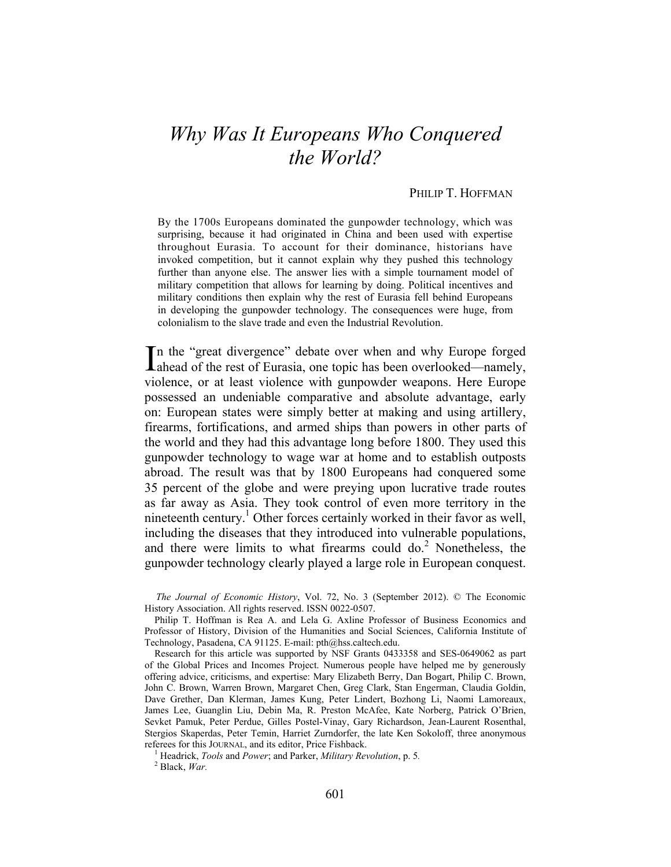# *Why Was It Europeans Who Conquered the World?*

### PHILIP T. HOFFMAN

By the 1700s Europeans dominated the gunpowder technology, which was surprising, because it had originated in China and been used with expertise throughout Eurasia. To account for their dominance, historians have invoked competition, but it cannot explain why they pushed this technology further than anyone else. The answer lies with a simple tournament model of military competition that allows for learning by doing. Political incentives and military conditions then explain why the rest of Eurasia fell behind Europeans in developing the gunpowder technology. The consequences were huge, from colonialism to the slave trade and even the Industrial Revolution.

n the "great divergence" debate over when and why Europe forged In the "great divergence" debate over when and why Europe forged ahead of the rest of Eurasia, one topic has been overlooked—namely, violence, or at least violence with gunpowder weapons. Here Europe possessed an undeniable comparative and absolute advantage, early on: European states were simply better at making and using artillery, firearms, fortifications, and armed ships than powers in other parts of the world and they had this advantage long before 1800. They used this gunpowder technology to wage war at home and to establish outposts abroad. The result was that by 1800 Europeans had conquered some 35 percent of the globe and were preying upon lucrative trade routes as far away as Asia. They took control of even more territory in the nineteenth century.<sup>1</sup> Other forces certainly worked in their favor as well, including the diseases that they introduced into vulnerable populations, and there were limits to what firearms could do.<sup>2</sup> Nonetheless, the gunpowder technology clearly played a large role in European conquest.

*The Journal of Economic History*, Vol. 72, No. 3 (September 2012). © The Economic History Association. All rights reserved. ISSN 0022-0507.

Philip T. Hoffman is Rea A. and Lela G. Axline Professor of Business Economics and Professor of History, Division of the Humanities and Social Sciences, California Institute of Technology, Pasadena, CA 91125. E-mail: pth@hss.caltech.edu.

Research for this article was supported by NSF Grants 0433358 and SES-0649062 as part of the Global Prices and Incomes Project. Numerous people have helped me by generously offering advice, criticisms, and expertise: Mary Elizabeth Berry, Dan Bogart, Philip C. Brown, John C. Brown, Warren Brown, Margaret Chen, Greg Clark, Stan Engerman, Claudia Goldin, Dave Grether, Dan Klerman, James Kung, Peter Lindert, Bozhong Li, Naomi Lamoreaux, James Lee, Guanglin Liu, Debin Ma, R. Preston McAfee, Kate Norberg, Patrick O'Brien, Sevket Pamuk, Peter Perdue, Gilles Postel-Vinay, Gary Richardson, Jean-Laurent Rosenthal, Stergios Skaperdas, Peter Temin, Harriet Zurndorfer, the late Ken Sokoloff, three anonymous

referees for this JOURNAL, and its editor, Price Fishback. <sup>1</sup> Headrick, *Tools* and *Power*; and Parker, *Military Revolution*, p. 5*.* <sup>2</sup> Black, *War.*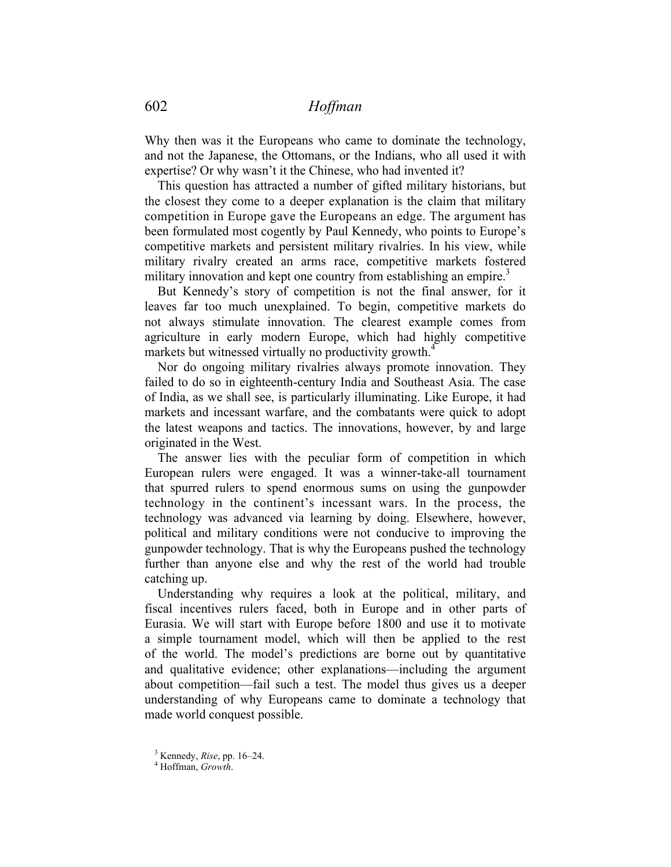Why then was it the Europeans who came to dominate the technology, and not the Japanese, the Ottomans, or the Indians, who all used it with expertise? Or why wasn't it the Chinese, who had invented it?

 This question has attracted a number of gifted military historians, but the closest they come to a deeper explanation is the claim that military competition in Europe gave the Europeans an edge. The argument has been formulated most cogently by Paul Kennedy, who points to Europe's competitive markets and persistent military rivalries. In his view, while military rivalry created an arms race, competitive markets fostered military innovation and kept one country from establishing an empire.<sup>3</sup>

 But Kennedy's story of competition is not the final answer, for it leaves far too much unexplained. To begin, competitive markets do not always stimulate innovation. The clearest example comes from agriculture in early modern Europe, which had highly competitive markets but witnessed virtually no productivity growth.<sup>4</sup>

 Nor do ongoing military rivalries always promote innovation. They failed to do so in eighteenth-century India and Southeast Asia. The case of India, as we shall see, is particularly illuminating. Like Europe, it had markets and incessant warfare, and the combatants were quick to adopt the latest weapons and tactics. The innovations, however, by and large originated in the West.

 The answer lies with the peculiar form of competition in which European rulers were engaged. It was a winner-take-all tournament that spurred rulers to spend enormous sums on using the gunpowder technology in the continent's incessant wars. In the process, the technology was advanced via learning by doing. Elsewhere, however, political and military conditions were not conducive to improving the gunpowder technology. That is why the Europeans pushed the technology further than anyone else and why the rest of the world had trouble catching up.

 Understanding why requires a look at the political, military, and fiscal incentives rulers faced, both in Europe and in other parts of Eurasia. We will start with Europe before 1800 and use it to motivate a simple tournament model, which will then be applied to the rest of the world. The model's predictions are borne out by quantitative and qualitative evidence; other explanations—including the argument about competition—fail such a test. The model thus gives us a deeper understanding of why Europeans came to dominate a technology that made world conquest possible.

<sup>3</sup> Kennedy, *Rise*, pp. 16‒24. 4 Hoffman, *Growth*.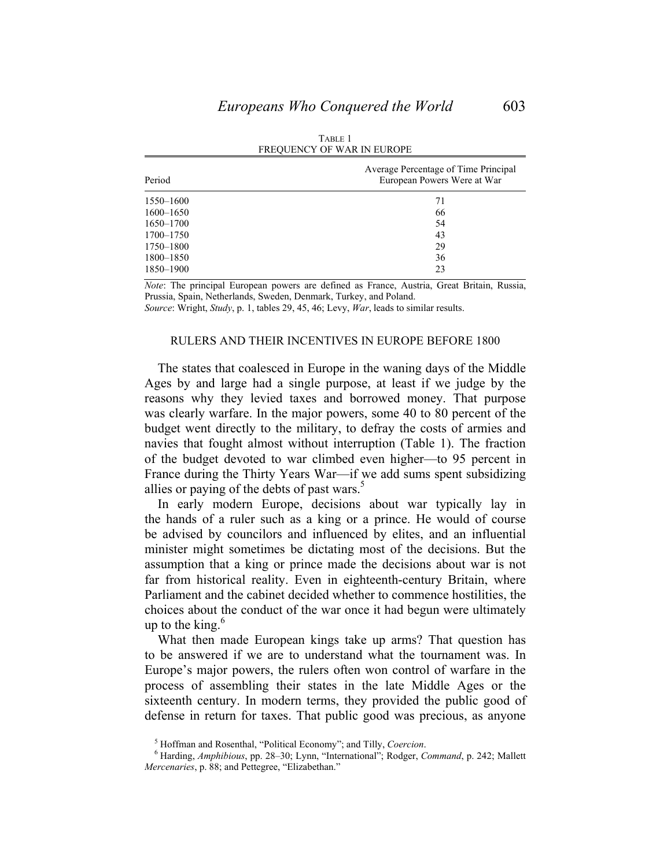| Period        | Average Percentage of Time Principal<br>European Powers Were at War |
|---------------|---------------------------------------------------------------------|
| 1550-1600     | 71                                                                  |
| $1600 - 1650$ | 66                                                                  |
| 1650-1700     | 54                                                                  |
| 1700-1750     | 43                                                                  |
| 1750–1800     | 29                                                                  |
| 1800-1850     | 36                                                                  |
| 1850-1900     | 23                                                                  |

| TABLE 1                    |
|----------------------------|
| FREQUENCY OF WAR IN EUROPE |

*Note*: The principal European powers are defined as France, Austria, Great Britain, Russia, Prussia, Spain, Netherlands, Sweden, Denmark, Turkey, and Poland. *Source*: Wright, *Study*, p. 1, tables 29, 45, 46; Levy, *War*, leads to similar results.

#### RULERS AND THEIR INCENTIVES IN EUROPE BEFORE 1800

 The states that coalesced in Europe in the waning days of the Middle Ages by and large had a single purpose, at least if we judge by the reasons why they levied taxes and borrowed money. That purpose was clearly warfare. In the major powers, some 40 to 80 percent of the budget went directly to the military, to defray the costs of armies and navies that fought almost without interruption (Table 1). The fraction of the budget devoted to war climbed even higher—to 95 percent in France during the Thirty Years War—if we add sums spent subsidizing allies or paying of the debts of past wars.<sup>5</sup>

 In early modern Europe, decisions about war typically lay in the hands of a ruler such as a king or a prince. He would of course be advised by councilors and influenced by elites, and an influential minister might sometimes be dictating most of the decisions. But the assumption that a king or prince made the decisions about war is not far from historical reality. Even in eighteenth-century Britain, where Parliament and the cabinet decided whether to commence hostilities, the choices about the conduct of the war once it had begun were ultimately up to the king. $6$ 

 What then made European kings take up arms? That question has to be answered if we are to understand what the tournament was. In Europe's major powers, the rulers often won control of warfare in the process of assembling their states in the late Middle Ages or the sixteenth century. In modern terms, they provided the public good of defense in return for taxes. That public good was precious, as anyone

<sup>5</sup> Hoffman and Rosenthal, "Political Economy"; and Tilly, *Coercion*. 6 Harding, *Amphibious*, pp. 28‒30; Lynn, "International"; Rodger, *Command*, p. 242; Mallett *Mercenaries*, p. 88; and Pettegree, "Elizabethan."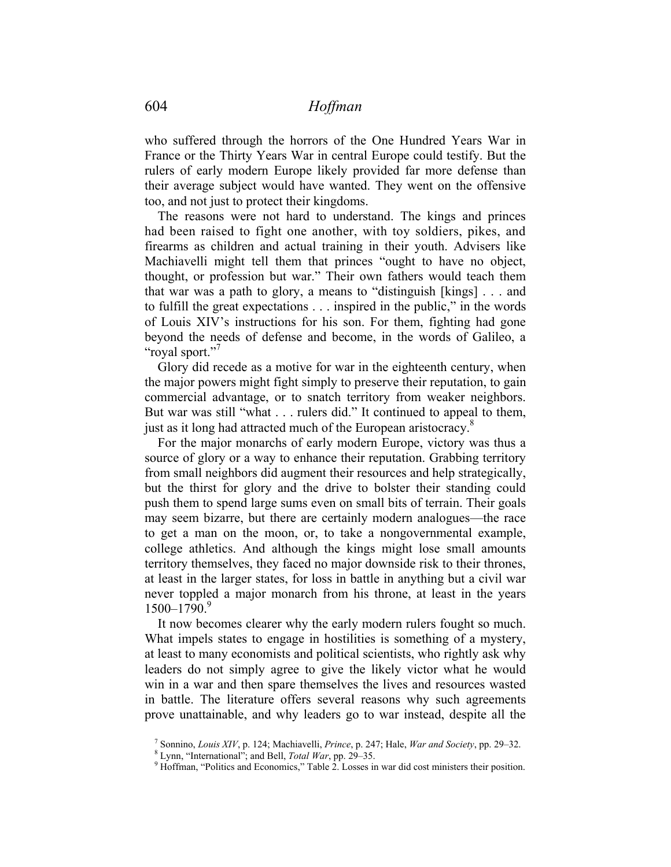who suffered through the horrors of the One Hundred Years War in France or the Thirty Years War in central Europe could testify. But the rulers of early modern Europe likely provided far more defense than their average subject would have wanted. They went on the offensive too, and not just to protect their kingdoms.

 The reasons were not hard to understand. The kings and princes had been raised to fight one another, with toy soldiers, pikes, and firearms as children and actual training in their youth. Advisers like Machiavelli might tell them that princes "ought to have no object, thought, or profession but war." Their own fathers would teach them that war was a path to glory, a means to "distinguish [kings] . . . and to fulfill the great expectations . . . inspired in the public," in the words of Louis XIV's instructions for his son. For them, fighting had gone beyond the needs of defense and become, in the words of Galileo, a "royal sport."<sup>7</sup>

 Glory did recede as a motive for war in the eighteenth century, when the major powers might fight simply to preserve their reputation, to gain commercial advantage, or to snatch territory from weaker neighbors. But war was still "what . . . rulers did." It continued to appeal to them, just as it long had attracted much of the European aristocracy.<sup>8</sup>

 For the major monarchs of early modern Europe, victory was thus a source of glory or a way to enhance their reputation. Grabbing territory from small neighbors did augment their resources and help strategically, but the thirst for glory and the drive to bolster their standing could push them to spend large sums even on small bits of terrain. Their goals may seem bizarre, but there are certainly modern analogues—the race to get a man on the moon, or, to take a nongovernmental example, college athletics. And although the kings might lose small amounts territory themselves, they faced no major downside risk to their thrones, at least in the larger states, for loss in battle in anything but a civil war never toppled a major monarch from his throne, at least in the years  $1500 - 1790.9$ 

 It now becomes clearer why the early modern rulers fought so much. What impels states to engage in hostilities is something of a mystery, at least to many economists and political scientists, who rightly ask why leaders do not simply agree to give the likely victor what he would win in a war and then spare themselves the lives and resources wasted in battle. The literature offers several reasons why such agreements prove unattainable, and why leaders go to war instead, despite all the

<sup>&</sup>lt;sup>7</sup> Sonnino, *Louis XIV*, p. 124; Machiavelli, *Prince*, p. 247; Hale, *War and Society*, pp. 29–32.<br><sup>8</sup> Lynn, "International"; and Bell, *Total War*, pp. 29–35.<br><sup>9</sup> Hoffman, "Politics and Economics," Table 2. Losses in w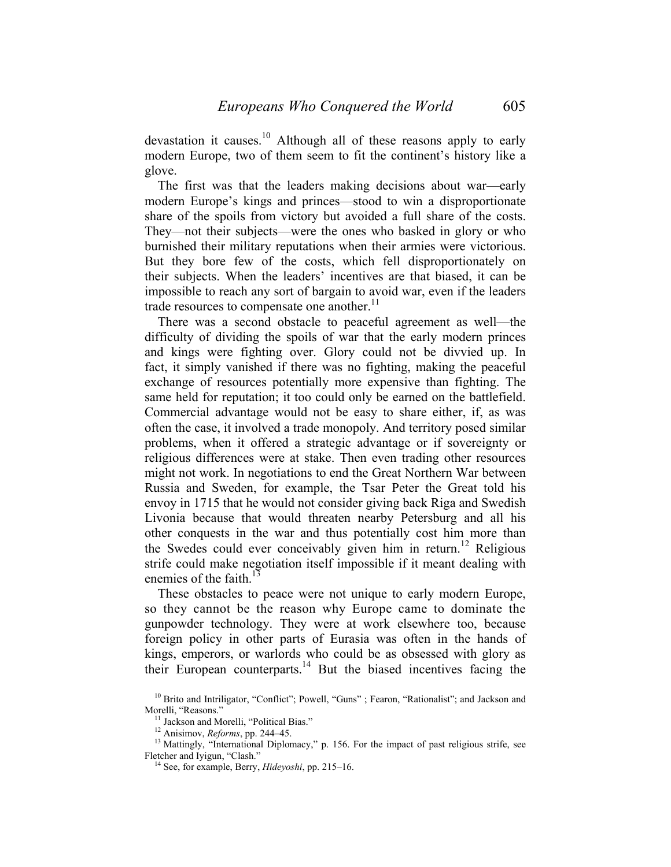devastation it causes.<sup>10</sup> Although all of these reasons apply to early modern Europe, two of them seem to fit the continent's history like a glove.

 The first was that the leaders making decisions about war—early modern Europe's kings and princes—stood to win a disproportionate share of the spoils from victory but avoided a full share of the costs. They—not their subjects—were the ones who basked in glory or who burnished their military reputations when their armies were victorious. But they bore few of the costs, which fell disproportionately on their subjects. When the leaders' incentives are that biased, it can be impossible to reach any sort of bargain to avoid war, even if the leaders trade resources to compensate one another.<sup>11</sup>

 There was a second obstacle to peaceful agreement as well—the difficulty of dividing the spoils of war that the early modern princes and kings were fighting over. Glory could not be divvied up. In fact, it simply vanished if there was no fighting, making the peaceful exchange of resources potentially more expensive than fighting. The same held for reputation; it too could only be earned on the battlefield. Commercial advantage would not be easy to share either, if, as was often the case, it involved a trade monopoly. And territory posed similar problems, when it offered a strategic advantage or if sovereignty or religious differences were at stake. Then even trading other resources might not work. In negotiations to end the Great Northern War between Russia and Sweden, for example, the Tsar Peter the Great told his envoy in 1715 that he would not consider giving back Riga and Swedish Livonia because that would threaten nearby Petersburg and all his other conquests in the war and thus potentially cost him more than the Swedes could ever conceivably given him in return.<sup>12</sup> Religious strife could make negotiation itself impossible if it meant dealing with enemies of the faith. $^{13}$ 

 These obstacles to peace were not unique to early modern Europe, so they cannot be the reason why Europe came to dominate the gunpowder technology. They were at work elsewhere too, because foreign policy in other parts of Eurasia was often in the hands of kings, emperors, or warlords who could be as obsessed with glory as their European counterparts.14 But the biased incentives facing the

<sup>&</sup>lt;sup>10</sup> Brito and Intriligator, "Conflict"; Powell, "Guns" ; Fearon, "Rationalist"; and Jackson and Morelli, "Reasons."

<sup>&</sup>lt;sup>11</sup> Jackson and Morelli, "Political Bias."<br><sup>12</sup> Anisimov, *Reforms*, pp. 244–45.<br><sup>13</sup> Mattingly, "International Diplomacy," p. 156. For the impact of past religious strife, see<br>Fletcher and Iyigun, "Clash."

 $^{14}$  See, for example, Berry, *Hideyoshi*, pp. 215–16.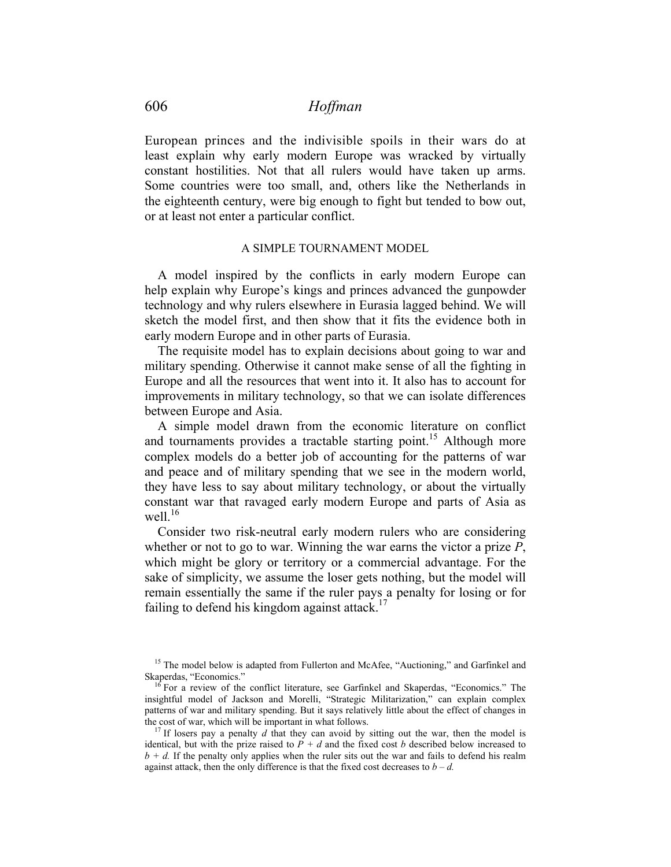European princes and the indivisible spoils in their wars do at least explain why early modern Europe was wracked by virtually constant hostilities. Not that all rulers would have taken up arms. Some countries were too small, and, others like the Netherlands in the eighteenth century, were big enough to fight but tended to bow out, or at least not enter a particular conflict.

#### A SIMPLE TOURNAMENT MODEL

 A model inspired by the conflicts in early modern Europe can help explain why Europe's kings and princes advanced the gunpowder technology and why rulers elsewhere in Eurasia lagged behind. We will sketch the model first, and then show that it fits the evidence both in early modern Europe and in other parts of Eurasia.

 The requisite model has to explain decisions about going to war and military spending. Otherwise it cannot make sense of all the fighting in Europe and all the resources that went into it. It also has to account for improvements in military technology, so that we can isolate differences between Europe and Asia.

 A simple model drawn from the economic literature on conflict and tournaments provides a tractable starting point.<sup>15</sup> Although more complex models do a better job of accounting for the patterns of war and peace and of military spending that we see in the modern world, they have less to say about military technology, or about the virtually constant war that ravaged early modern Europe and parts of Asia as well. $^{16}$ 

 Consider two risk-neutral early modern rulers who are considering whether or not to go to war. Winning the war earns the victor a prize *P*, which might be glory or territory or a commercial advantage. For the sake of simplicity, we assume the loser gets nothing, but the model will remain essentially the same if the ruler pays a penalty for losing or for failing to defend his kingdom against attack.<sup>17</sup>

<sup>&</sup>lt;sup>15</sup> The model below is adapted from Fullerton and McAfee, "Auctioning," and Garfinkel and Skaperdas. "Economics."

<sup>&</sup>lt;sup>16</sup> For a review of the conflict literature, see Garfinkel and Skaperdas, "Economics." The insightful model of Jackson and Morelli, "Strategic Militarization," can explain complex patterns of war and military spending. But it says relatively little about the effect of changes in the cost of war, which will be important in what follows. <sup>17</sup> If losers pay a penalty *d* that they can avoid by sitting out the war, then the model is

identical, but with the prize raised to  $P + d$  and the fixed cost *b* described below increased to *b + d.* If the penalty only applies when the ruler sits out the war and fails to defend his realm against attack, then the only difference is that the fixed cost decreases to  $b - d$ .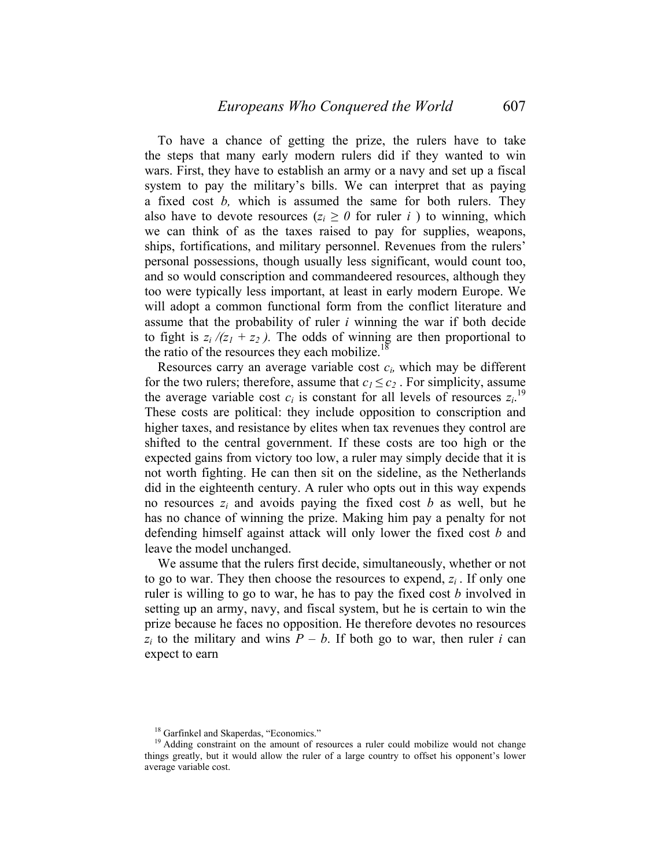To have a chance of getting the prize, the rulers have to take the steps that many early modern rulers did if they wanted to win wars. First, they have to establish an army or a navy and set up a fiscal system to pay the military's bills. We can interpret that as paying a fixed cost *b,* which is assumed the same for both rulers. They also have to devote resources ( $z_i \ge 0$  for ruler *i*) to winning, which we can think of as the taxes raised to pay for supplies, weapons, ships, fortifications, and military personnel. Revenues from the rulers' personal possessions, though usually less significant, would count too, and so would conscription and commandeered resources, although they too were typically less important, at least in early modern Europe. We will adopt a common functional form from the conflict literature and assume that the probability of ruler *i* winning the war if both decide to fight is  $z_i/(z_1 + z_2)$ . The odds of winning are then proportional to the ratio of the resources they each mobilize.<sup>18</sup>

 Resources carry an average variable cost *ci,* which may be different for the two rulers; therefore, assume that  $c_1 \leq c_2$ . For simplicity, assume the average variable cost  $c_i$  is constant for all levels of resources  $z_i$ .<sup>19</sup> These costs are political: they include opposition to conscription and higher taxes, and resistance by elites when tax revenues they control are shifted to the central government. If these costs are too high or the expected gains from victory too low, a ruler may simply decide that it is not worth fighting. He can then sit on the sideline, as the Netherlands did in the eighteenth century. A ruler who opts out in this way expends no resources  $z_i$  and avoids paying the fixed cost *b* as well, but he has no chance of winning the prize. Making him pay a penalty for not defending himself against attack will only lower the fixed cost *b* and leave the model unchanged.

 We assume that the rulers first decide, simultaneously, whether or not to go to war. They then choose the resources to expend,  $z_i$ . If only one ruler is willing to go to war, he has to pay the fixed cost *b* involved in setting up an army, navy, and fiscal system, but he is certain to win the prize because he faces no opposition. He therefore devotes no resources  $z_i$  to the military and wins  $P - b$ . If both go to war, then ruler *i* can expect to earn

 $18$  Garfinkel and Skaperdas, "Economics."  $19$  Adding constraint on the amount of resources a ruler could mobilize would not change things greatly, but it would allow the ruler of a large country to offset his opponent's lower average variable cost.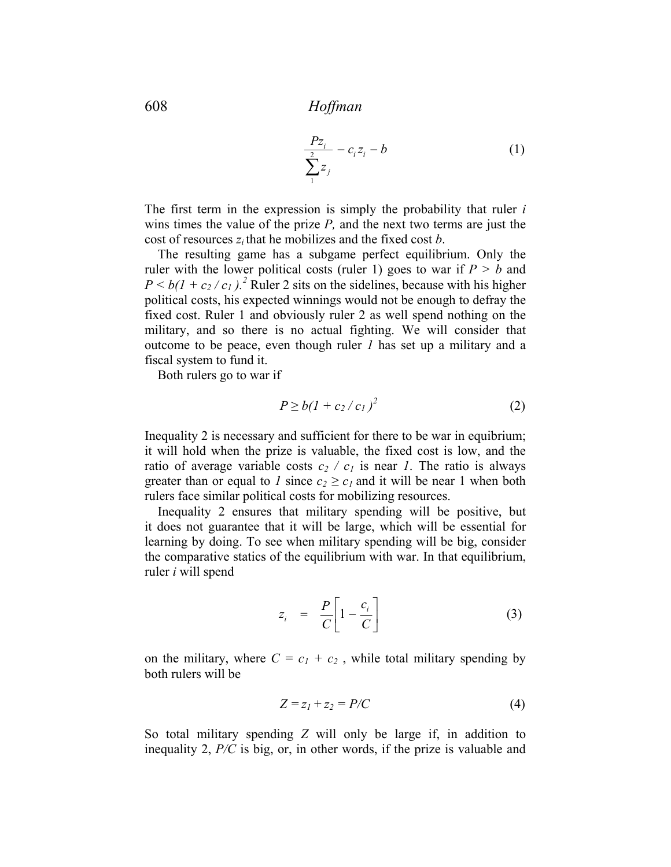$$
\frac{Pz_i}{\sum_{i=1}^{2} z_j} -c_i z_i - b \tag{1}
$$

The first term in the expression is simply the probability that ruler *i* wins times the value of the prize *P,* and the next two terms are just the cost of resources *zi* that he mobilizes and the fixed cost *b*.

 The resulting game has a subgame perfect equilibrium. Only the ruler with the lower political costs (ruler 1) goes to war if  $P > b$  and  $P < b(1 + c_2/c_1)^2$ . Ruler 2 sits on the sidelines, because with his higher political costs, his expected winnings would not be enough to defray the fixed cost. Ruler 1 and obviously ruler 2 as well spend nothing on the military, and so there is no actual fighting. We will consider that outcome to be peace, even though ruler *1* has set up a military and a fiscal system to fund it.

Both rulers go to war if

$$
P \ge b(1+c_2/c_1)^2 \tag{2}
$$

Inequality 2 is necessary and sufficient for there to be war in equibrium; it will hold when the prize is valuable, the fixed cost is low, and the ratio of average variable costs  $c_2 / c_1$  is near *1*. The ratio is always greater than or equal to *1* since  $c_2 \geq c_1$  and it will be near 1 when both rulers face similar political costs for mobilizing resources.

 Inequality 2 ensures that military spending will be positive, but it does not guarantee that it will be large, which will be essential for learning by doing. To see when military spending will be big, consider the comparative statics of the equilibrium with war. In that equilibrium, ruler *i* will spend

$$
z_i = \frac{P}{C} \left[ 1 - \frac{c_i}{C} \right] \tag{3}
$$

on the military, where  $C = c_1 + c_2$ , while total military spending by both rulers will be

$$
Z = z_1 + z_2 = P/C \tag{4}
$$

So total military spending *Z* will only be large if, in addition to inequality 2, *P/C* is big, or, in other words, if the prize is valuable and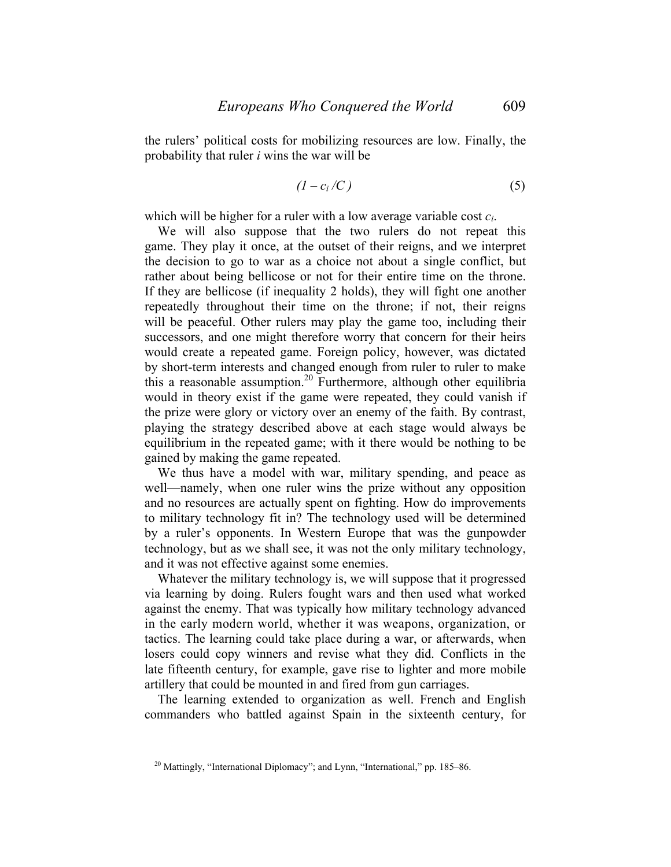the rulers' political costs for mobilizing resources are low. Finally, the probability that ruler *i* wins the war will be

$$
(1 - c_i/C) \tag{5}
$$

which will be higher for a ruler with a low average variable cost *ci*.

 We will also suppose that the two rulers do not repeat this game. They play it once, at the outset of their reigns, and we interpret the decision to go to war as a choice not about a single conflict, but rather about being bellicose or not for their entire time on the throne. If they are bellicose (if inequality 2 holds), they will fight one another repeatedly throughout their time on the throne; if not, their reigns will be peaceful. Other rulers may play the game too, including their successors, and one might therefore worry that concern for their heirs would create a repeated game. Foreign policy, however, was dictated by short-term interests and changed enough from ruler to ruler to make this a reasonable assumption.<sup>20</sup> Furthermore, although other equilibria would in theory exist if the game were repeated, they could vanish if the prize were glory or victory over an enemy of the faith. By contrast, playing the strategy described above at each stage would always be equilibrium in the repeated game; with it there would be nothing to be gained by making the game repeated.

We thus have a model with war, military spending, and peace as well—namely, when one ruler wins the prize without any opposition and no resources are actually spent on fighting. How do improvements to military technology fit in? The technology used will be determined by a ruler's opponents. In Western Europe that was the gunpowder technology, but as we shall see, it was not the only military technology, and it was not effective against some enemies.

 Whatever the military technology is, we will suppose that it progressed via learning by doing. Rulers fought wars and then used what worked against the enemy. That was typically how military technology advanced in the early modern world, whether it was weapons, organization, or tactics. The learning could take place during a war, or afterwards, when losers could copy winners and revise what they did. Conflicts in the late fifteenth century, for example, gave rise to lighter and more mobile artillery that could be mounted in and fired from gun carriages.

 The learning extended to organization as well. French and English commanders who battled against Spain in the sixteenth century, for

<sup>&</sup>lt;sup>20</sup> Mattingly, "International Diplomacy"; and Lynn, "International," pp. 185–86.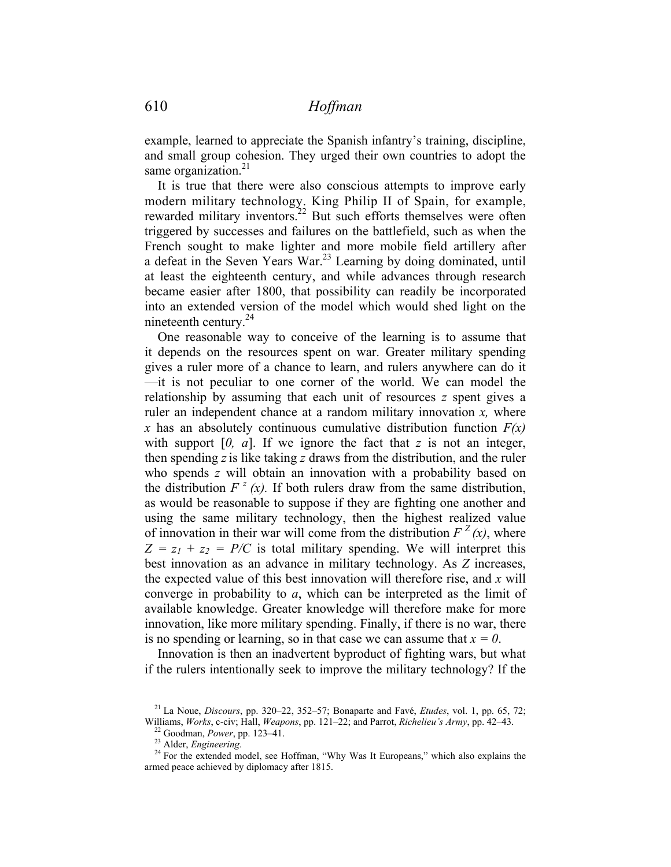example, learned to appreciate the Spanish infantry's training, discipline, and small group cohesion. They urged their own countries to adopt the same organization. $2<sup>1</sup>$ 

 It is true that there were also conscious attempts to improve early modern military technology. King Philip II of Spain, for example, rewarded military inventors.<sup>22</sup> But such efforts themselves were often triggered by successes and failures on the battlefield, such as when the French sought to make lighter and more mobile field artillery after a defeat in the Seven Years War.23 Learning by doing dominated, until at least the eighteenth century, and while advances through research became easier after 1800, that possibility can readily be incorporated into an extended version of the model which would shed light on the nineteenth century.24

 One reasonable way to conceive of the learning is to assume that it depends on the resources spent on war. Greater military spending gives a ruler more of a chance to learn, and rulers anywhere can do it —it is not peculiar to one corner of the world. We can model the relationship by assuming that each unit of resources *z* spent gives a ruler an independent chance at a random military innovation *x,* where *x* has an absolutely continuous cumulative distribution function  $F(x)$ with support [*0, a*]. If we ignore the fact that *z* is not an integer, then spending *z*is like taking *z* draws from the distribution, and the ruler who spends *z* will obtain an innovation with a probability based on the distribution  $F^2(x)$ . If both rulers draw from the same distribution, as would be reasonable to suppose if they are fighting one another and using the same military technology, then the highest realized value of innovation in their war will come from the distribution  $F^Z(x)$ , where  $Z = z_1 + z_2 = P/C$  is total military spending. We will interpret this best innovation as an advance in military technology. As *Z* increases, the expected value of this best innovation will therefore rise, and *x* will converge in probability to *a*, which can be interpreted as the limit of available knowledge. Greater knowledge will therefore make for more innovation, like more military spending. Finally, if there is no war, there is no spending or learning, so in that case we can assume that  $x = 0$ .

 Innovation is then an inadvertent byproduct of fighting wars, but what if the rulers intentionally seek to improve the military technology? If the

<sup>&</sup>lt;sup>21</sup> La Noue, *Discours*, pp. 320–22, 352–57; Bonaparte and Favé, *Etudes*, vol. 1, pp. 65, 72;

Williams, *Works*, c-civ; Hall, *Weapons*, pp. 121–22; and Parrot, *Richelieu's Army*, pp. 42–43.<br><sup>22</sup> Goodman, *Power*, pp. 123–41.<br><sup>23</sup> Alder, *Engineering*.<br><sup>24</sup> For the extended model, see Hoffman, "Why Was It Europea armed peace achieved by diplomacy after 1815.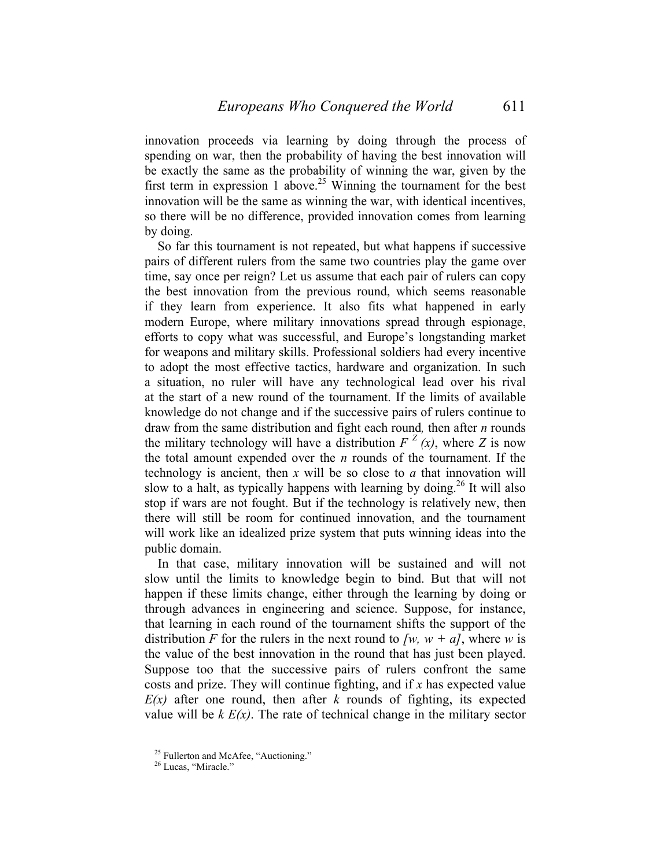innovation proceeds via learning by doing through the process of spending on war, then the probability of having the best innovation will be exactly the same as the probability of winning the war, given by the first term in expression 1 above.<sup>25</sup> Winning the tournament for the best innovation will be the same as winning the war, with identical incentives, so there will be no difference, provided innovation comes from learning by doing.

 So far this tournament is not repeated, but what happens if successive pairs of different rulers from the same two countries play the game over time, say once per reign? Let us assume that each pair of rulers can copy the best innovation from the previous round, which seems reasonable if they learn from experience. It also fits what happened in early modern Europe, where military innovations spread through espionage, efforts to copy what was successful, and Europe's longstanding market for weapons and military skills. Professional soldiers had every incentive to adopt the most effective tactics, hardware and organization. In such a situation, no ruler will have any technological lead over his rival at the start of a new round of the tournament. If the limits of available knowledge do not change and if the successive pairs of rulers continue to draw from the same distribution and fight each round*,* then after *n* rounds the military technology will have a distribution  $F^{Z}(x)$ , where *Z* is now the total amount expended over the *n* rounds of the tournament. If the technology is ancient, then *x* will be so close to *a* that innovation will slow to a halt, as typically happens with learning by doing.<sup>26</sup> It will also stop if wars are not fought. But if the technology is relatively new, then there will still be room for continued innovation, and the tournament will work like an idealized prize system that puts winning ideas into the public domain.

 In that case, military innovation will be sustained and will not slow until the limits to knowledge begin to bind. But that will not happen if these limits change, either through the learning by doing or through advances in engineering and science. Suppose, for instance, that learning in each round of the tournament shifts the support of the distribution *F* for the rulers in the next round to *[w, w + a]*, where *w* is the value of the best innovation in the round that has just been played. Suppose too that the successive pairs of rulers confront the same costs and prize. They will continue fighting, and if *x* has expected value  $E(x)$  after one round, then after *k* rounds of fighting, its expected value will be  $k E(x)$ . The rate of technical change in the military sector

 $^{25}$  Fullerton and McAfee, "Auctioning."  $^{26}$  Lucas, "Miracle."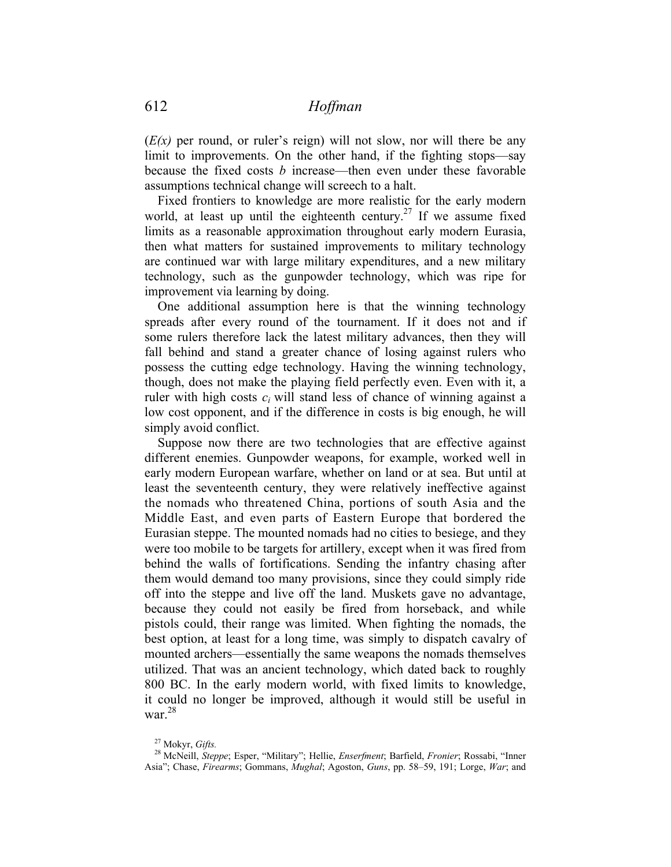$(E(x))$  per round, or ruler's reign) will not slow, nor will there be any limit to improvements. On the other hand, if the fighting stops—say because the fixed costs *b* increase—then even under these favorable assumptions technical change will screech to a halt.

 Fixed frontiers to knowledge are more realistic for the early modern world, at least up until the eighteenth century.<sup>27</sup> If we assume fixed limits as a reasonable approximation throughout early modern Eurasia, then what matters for sustained improvements to military technology are continued war with large military expenditures, and a new military technology, such as the gunpowder technology, which was ripe for improvement via learning by doing.

 One additional assumption here is that the winning technology spreads after every round of the tournament. If it does not and if some rulers therefore lack the latest military advances, then they will fall behind and stand a greater chance of losing against rulers who possess the cutting edge technology. Having the winning technology, though, does not make the playing field perfectly even. Even with it, a ruler with high costs  $c_i$  will stand less of chance of winning against a low cost opponent, and if the difference in costs is big enough, he will simply avoid conflict.

 Suppose now there are two technologies that are effective against different enemies. Gunpowder weapons, for example, worked well in early modern European warfare, whether on land or at sea. But until at least the seventeenth century, they were relatively ineffective against the nomads who threatened China, portions of south Asia and the Middle East, and even parts of Eastern Europe that bordered the Eurasian steppe. The mounted nomads had no cities to besiege, and they were too mobile to be targets for artillery, except when it was fired from behind the walls of fortifications. Sending the infantry chasing after them would demand too many provisions, since they could simply ride off into the steppe and live off the land. Muskets gave no advantage, because they could not easily be fired from horseback, and while pistols could, their range was limited. When fighting the nomads, the best option, at least for a long time, was simply to dispatch cavalry of mounted archers—essentially the same weapons the nomads themselves utilized. That was an ancient technology, which dated back to roughly 800 BC. In the early modern world, with fixed limits to knowledge, it could no longer be improved, although it would still be useful in war.28

<sup>27</sup> Mokyr, *Gifts.* <sup>28</sup> McNeill, *Steppe*; Esper, "Military"; Hellie, *Enserfment*; Barfield, *Fronier*; Rossabi, "Inner Asia"; Chase, *Firearms*; Gommans, *Mughal*; Agoston, *Guns*, pp. 58‒59, 191; Lorge, *War*; and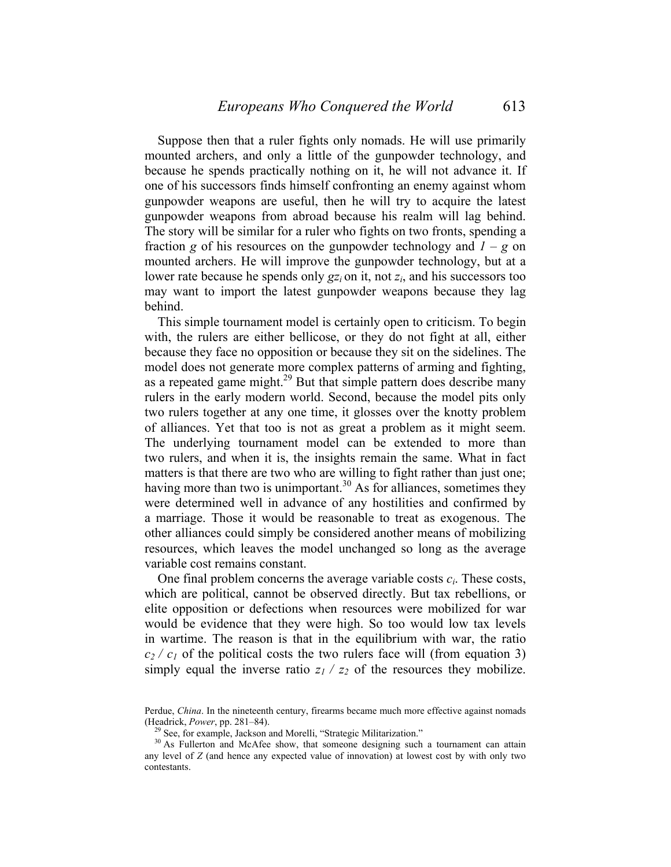Suppose then that a ruler fights only nomads. He will use primarily mounted archers, and only a little of the gunpowder technology, and because he spends practically nothing on it, he will not advance it. If one of his successors finds himself confronting an enemy against whom gunpowder weapons are useful, then he will try to acquire the latest gunpowder weapons from abroad because his realm will lag behind. The story will be similar for a ruler who fights on two fronts, spending a fraction *g* of his resources on the gunpowder technology and  $I - g$  on mounted archers. He will improve the gunpowder technology, but at a lower rate because he spends only *gzi* on it, not *zi*, and his successors too may want to import the latest gunpowder weapons because they lag behind.

 This simple tournament model is certainly open to criticism. To begin with, the rulers are either bellicose, or they do not fight at all, either because they face no opposition or because they sit on the sidelines. The model does not generate more complex patterns of arming and fighting, as a repeated game might.<sup>29</sup> But that simple pattern does describe many rulers in the early modern world. Second, because the model pits only two rulers together at any one time, it glosses over the knotty problem of alliances. Yet that too is not as great a problem as it might seem. The underlying tournament model can be extended to more than two rulers, and when it is, the insights remain the same. What in fact matters is that there are two who are willing to fight rather than just one; having more than two is unimportant.<sup>30</sup> As for alliances, sometimes they were determined well in advance of any hostilities and confirmed by a marriage. Those it would be reasonable to treat as exogenous. The other alliances could simply be considered another means of mobilizing resources, which leaves the model unchanged so long as the average variable cost remains constant.

 One final problem concerns the average variable costs *ci*. These costs, which are political, cannot be observed directly. But tax rebellions, or elite opposition or defections when resources were mobilized for war would be evidence that they were high. So too would low tax levels in wartime. The reason is that in the equilibrium with war, the ratio  $c_2$  /  $c_1$  of the political costs the two rulers face will (from equation 3) simply equal the inverse ratio  $z_1 / z_2$  of the resources they mobilize.

Perdue, *China*. In the nineteenth century, firearms became much more effective against nomads (Headrick, *Power*, pp. 281–84).<br><sup>29</sup> See, for example, Jackson and Morelli, "Strategic Militarization." <sup>30</sup> As Fullerton and McAfee show, that someone designing such a tournament can attain

any level of *Z* (and hence any expected value of innovation) at lowest cost by with only two contestants.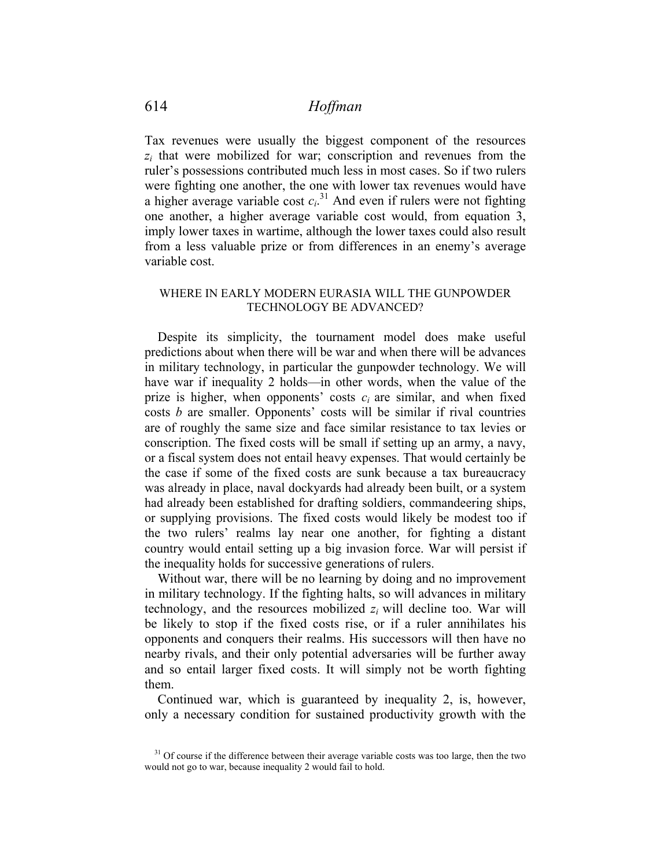Tax revenues were usually the biggest component of the resources  $z_i$  that were mobilized for war; conscription and revenues from the ruler's possessions contributed much less in most cases. So if two rulers were fighting one another, the one with lower tax revenues would have a higher average variable cost  $c_i$ <sup>31</sup> And even if rulers were not fighting one another, a higher average variable cost would, from equation 3, imply lower taxes in wartime, although the lower taxes could also result from a less valuable prize or from differences in an enemy's average variable cost.

#### WHERE IN EARLY MODERN EURASIA WILL THE GUNPOWDER TECHNOLOGY BE ADVANCED?

 Despite its simplicity, the tournament model does make useful predictions about when there will be war and when there will be advances in military technology, in particular the gunpowder technology. We will have war if inequality 2 holds—in other words, when the value of the prize is higher, when opponents' costs  $c_i$  are similar, and when fixed costs *b* are smaller. Opponents' costs will be similar if rival countries are of roughly the same size and face similar resistance to tax levies or conscription. The fixed costs will be small if setting up an army, a navy, or a fiscal system does not entail heavy expenses. That would certainly be the case if some of the fixed costs are sunk because a tax bureaucracy was already in place, naval dockyards had already been built, or a system had already been established for drafting soldiers, commandeering ships, or supplying provisions. The fixed costs would likely be modest too if the two rulers' realms lay near one another, for fighting a distant country would entail setting up a big invasion force. War will persist if the inequality holds for successive generations of rulers.

 Without war, there will be no learning by doing and no improvement in military technology. If the fighting halts, so will advances in military technology, and the resources mobilized  $z_i$  will decline too. War will be likely to stop if the fixed costs rise, or if a ruler annihilates his opponents and conquers their realms. His successors will then have no nearby rivals, and their only potential adversaries will be further away and so entail larger fixed costs. It will simply not be worth fighting them.

 Continued war, which is guaranteed by inequality 2, is, however, only a necessary condition for sustained productivity growth with the

<sup>&</sup>lt;sup>31</sup> Of course if the difference between their average variable costs was too large, then the two would not go to war, because inequality 2 would fail to hold.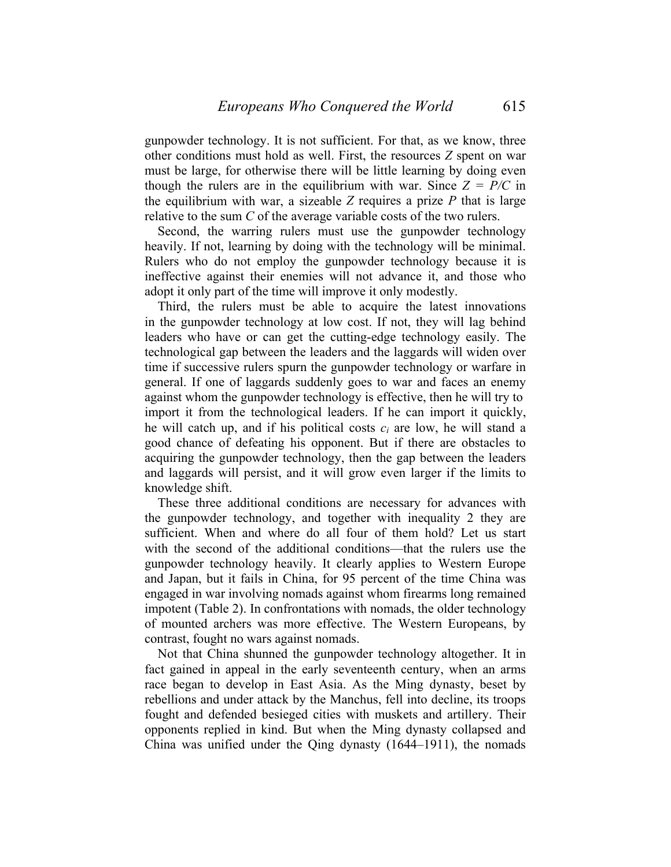gunpowder technology. It is not sufficient. For that, as we know, three other conditions must hold as well. First, the resources *Z* spent on war must be large, for otherwise there will be little learning by doing even though the rulers are in the equilibrium with war. Since  $Z = P/C$  in the equilibrium with war, a sizeable *Z* requires a prize *P* that is large relative to the sum *C* of the average variable costs of the two rulers.

 Second, the warring rulers must use the gunpowder technology heavily. If not, learning by doing with the technology will be minimal. Rulers who do not employ the gunpowder technology because it is ineffective against their enemies will not advance it, and those who adopt it only part of the time will improve it only modestly.

 Third, the rulers must be able to acquire the latest innovations in the gunpowder technology at low cost. If not, they will lag behind leaders who have or can get the cutting-edge technology easily. The technological gap between the leaders and the laggards will widen over time if successive rulers spurn the gunpowder technology or warfare in general. If one of laggards suddenly goes to war and faces an enemy against whom the gunpowder technology is effective, then he will try to import it from the technological leaders. If he can import it quickly, he will catch up, and if his political costs *ci* are low, he will stand a good chance of defeating his opponent. But if there are obstacles to acquiring the gunpowder technology, then the gap between the leaders and laggards will persist, and it will grow even larger if the limits to knowledge shift.

 These three additional conditions are necessary for advances with the gunpowder technology, and together with inequality 2 they are sufficient. When and where do all four of them hold? Let us start with the second of the additional conditions—that the rulers use the gunpowder technology heavily. It clearly applies to Western Europe and Japan, but it fails in China, for 95 percent of the time China was engaged in war involving nomads against whom firearms long remained impotent (Table 2). In confrontations with nomads, the older technology of mounted archers was more effective. The Western Europeans, by contrast, fought no wars against nomads.

 Not that China shunned the gunpowder technology altogether. It in fact gained in appeal in the early seventeenth century, when an arms race began to develop in East Asia. As the Ming dynasty, beset by rebellions and under attack by the Manchus, fell into decline, its troops fought and defended besieged cities with muskets and artillery. Their opponents replied in kind. But when the Ming dynasty collapsed and China was unified under the Qing dynasty (1644–1911), the nomads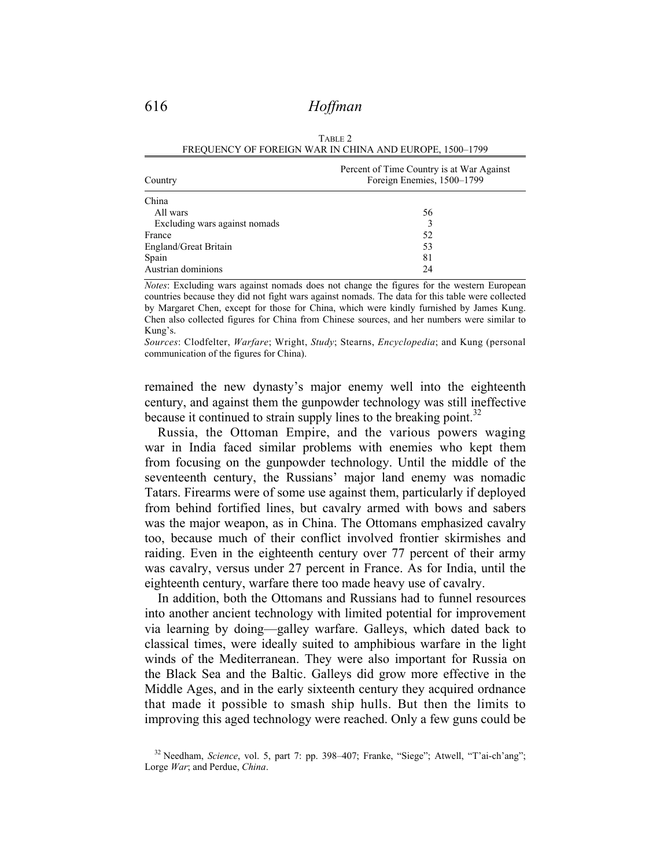| FREQUENCY OF FOREIGN WAR IN CHINA AND EUROPE, 1500–1799 |                                                                         |  |  |
|---------------------------------------------------------|-------------------------------------------------------------------------|--|--|
| Country                                                 | Percent of Time Country is at War Against<br>Foreign Enemies, 1500–1799 |  |  |
| China                                                   |                                                                         |  |  |
| All wars                                                | 56                                                                      |  |  |
| Excluding wars against nomads                           | 3                                                                       |  |  |
| France                                                  | 52                                                                      |  |  |
| England/Great Britain                                   | 53                                                                      |  |  |
| Spain                                                   | 81                                                                      |  |  |
| Austrian dominions                                      | 24                                                                      |  |  |

TABLE 2  $F_{\rm F}$  FLID ODE 1500–1500

*Notes*: Excluding wars against nomads does not change the figures for the western European countries because they did not fight wars against nomads. The data for this table were collected by Margaret Chen, except for those for China, which were kindly furnished by James Kung. Chen also collected figures for China from Chinese sources, and her numbers were similar to Kung's.

*Sources*: Clodfelter, *Warfare*; Wright, *Study*; Stearns, *Encyclopedia*; and Kung (personal communication of the figures for China).

remained the new dynasty's major enemy well into the eighteenth century, and against them the gunpowder technology was still ineffective because it continued to strain supply lines to the breaking point.<sup>32</sup>

 Russia, the Ottoman Empire, and the various powers waging war in India faced similar problems with enemies who kept them from focusing on the gunpowder technology. Until the middle of the seventeenth century, the Russians' major land enemy was nomadic Tatars. Firearms were of some use against them, particularly if deployed from behind fortified lines, but cavalry armed with bows and sabers was the major weapon, as in China. The Ottomans emphasized cavalry too, because much of their conflict involved frontier skirmishes and raiding. Even in the eighteenth century over 77 percent of their army was cavalry, versus under 27 percent in France. As for India, until the eighteenth century, warfare there too made heavy use of cavalry.

 In addition, both the Ottomans and Russians had to funnel resources into another ancient technology with limited potential for improvement via learning by doing—galley warfare. Galleys, which dated back to classical times, were ideally suited to amphibious warfare in the light winds of the Mediterranean. They were also important for Russia on the Black Sea and the Baltic. Galleys did grow more effective in the Middle Ages, and in the early sixteenth century they acquired ordnance that made it possible to smash ship hulls. But then the limits to improving this aged technology were reached. Only a few guns could be

<sup>&</sup>lt;sup>32</sup> Needham, *Science*, vol. 5, part 7: pp. 398-407; Franke, "Siege"; Atwell, "T'ai-ch'ang"; Lorge *War*; and Perdue, *China*.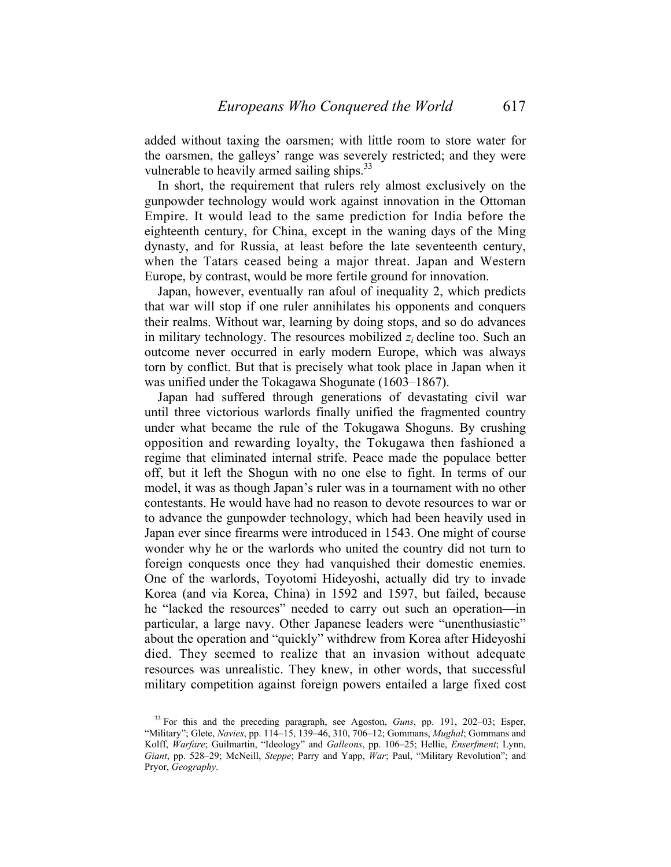added without taxing the oarsmen; with little room to store water for the oarsmen, the galleys' range was severely restricted; and they were vulnerable to heavily armed sailing ships.  $33$ 

 In short, the requirement that rulers rely almost exclusively on the gunpowder technology would work against innovation in the Ottoman Empire. It would lead to the same prediction for India before the eighteenth century, for China, except in the waning days of the Ming dynasty, and for Russia, at least before the late seventeenth century, when the Tatars ceased being a major threat. Japan and Western Europe, by contrast, would be more fertile ground for innovation.

 Japan, however, eventually ran afoul of inequality 2, which predicts that war will stop if one ruler annihilates his opponents and conquers their realms. Without war, learning by doing stops, and so do advances in military technology. The resources mobilized  $z_i$  decline too. Such an outcome never occurred in early modern Europe, which was always torn by conflict. But that is precisely what took place in Japan when it was unified under the Tokagawa Shogunate (1603–1867).

 Japan had suffered through generations of devastating civil war until three victorious warlords finally unified the fragmented country under what became the rule of the Tokugawa Shoguns. By crushing opposition and rewarding loyalty, the Tokugawa then fashioned a regime that eliminated internal strife. Peace made the populace better off, but it left the Shogun with no one else to fight. In terms of our model, it was as though Japan's ruler was in a tournament with no other contestants. He would have had no reason to devote resources to war or to advance the gunpowder technology, which had been heavily used in Japan ever since firearms were introduced in 1543. One might of course wonder why he or the warlords who united the country did not turn to foreign conquests once they had vanquished their domestic enemies. One of the warlords, Toyotomi Hideyoshi, actually did try to invade Korea (and via Korea, China) in 1592 and 1597, but failed, because he "lacked the resources" needed to carry out such an operation—in particular, a large navy. Other Japanese leaders were "unenthusiastic" about the operation and "quickly" withdrew from Korea after Hideyoshi died. They seemed to realize that an invasion without adequate resources was unrealistic. They knew, in other words, that successful military competition against foreign powers entailed a large fixed cost

<sup>&</sup>lt;sup>33</sup> For this and the preceding paragraph, see Agoston, *Guns*, pp. 191, 202–03; Esper, "Military"; Glete, *Navies*, pp. 114‒15, 139‒46, 310, 706‒12; Gommans, *Mughal*; Gommans and Kolff, *Warfare*; Guilmartin, "Ideology" and *Galleons*, pp. 106‒25; Hellie, *Enserfment*; Lynn, *Giant*, pp. 528‒29; McNeill, *Steppe*; Parry and Yapp, *War*; Paul, "Military Revolution"; and Pryor, *Geography*.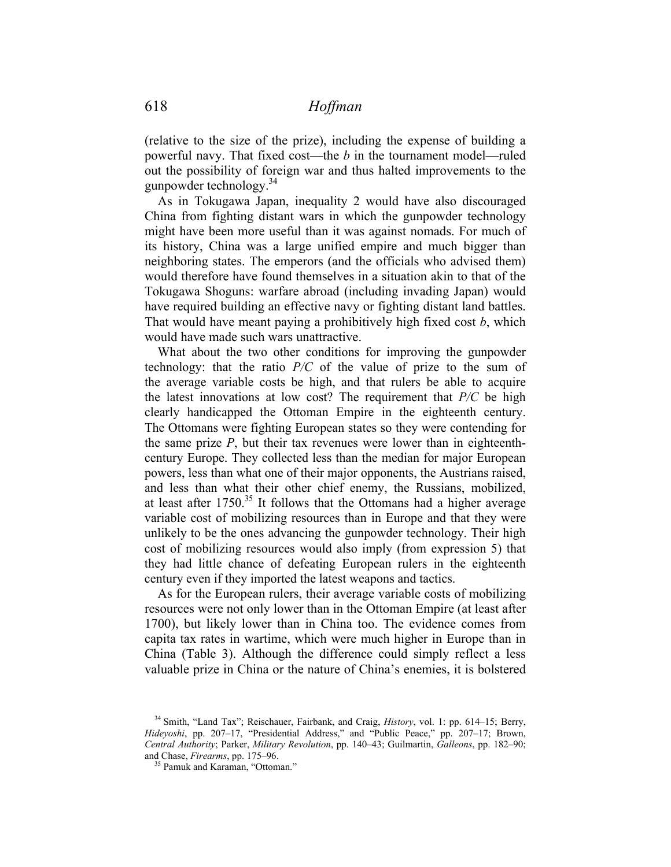(relative to the size of the prize), including the expense of building a powerful navy. That fixed cost—the *b* in the tournament model—ruled out the possibility of foreign war and thus halted improvements to the gunpowder technology.34

 As in Tokugawa Japan, inequality 2 would have also discouraged China from fighting distant wars in which the gunpowder technology might have been more useful than it was against nomads. For much of its history, China was a large unified empire and much bigger than neighboring states. The emperors (and the officials who advised them) would therefore have found themselves in a situation akin to that of the Tokugawa Shoguns: warfare abroad (including invading Japan) would have required building an effective navy or fighting distant land battles. That would have meant paying a prohibitively high fixed cost *b*, which would have made such wars unattractive.

 What about the two other conditions for improving the gunpowder technology: that the ratio *P/C* of the value of prize to the sum of the average variable costs be high, and that rulers be able to acquire the latest innovations at low cost? The requirement that *P/C* be high clearly handicapped the Ottoman Empire in the eighteenth century. The Ottomans were fighting European states so they were contending for the same prize  $P$ , but their tax revenues were lower than in eighteenthcentury Europe. They collected less than the median for major European powers, less than what one of their major opponents, the Austrians raised, and less than what their other chief enemy, the Russians, mobilized, at least after  $1750$ <sup>35</sup> It follows that the Ottomans had a higher average variable cost of mobilizing resources than in Europe and that they were unlikely to be the ones advancing the gunpowder technology. Their high cost of mobilizing resources would also imply (from expression 5) that they had little chance of defeating European rulers in the eighteenth century even if they imported the latest weapons and tactics.

 As for the European rulers, their average variable costs of mobilizing resources were not only lower than in the Ottoman Empire (at least after 1700), but likely lower than in China too. The evidence comes from capita tax rates in wartime, which were much higher in Europe than in China (Table 3). Although the difference could simply reflect a less valuable prize in China or the nature of China's enemies, it is bolstered

<sup>&</sup>lt;sup>34</sup> Smith, "Land Tax"; Reischauer, Fairbank, and Craig, *History*, vol. 1: pp. 614–15; Berry, Hideyoshi, pp. 207-17, "Presidential Address," and "Public Peace," pp. 207-17; Brown, *Central Authority*; Parker, *Military Revolution*, pp. 140‒43; Guilmartin, *Galleons*, pp. 182‒90; and Chase, *Firearms*, pp. 175–96.<br><sup>35</sup> Pamuk and Karaman. "Ottoman."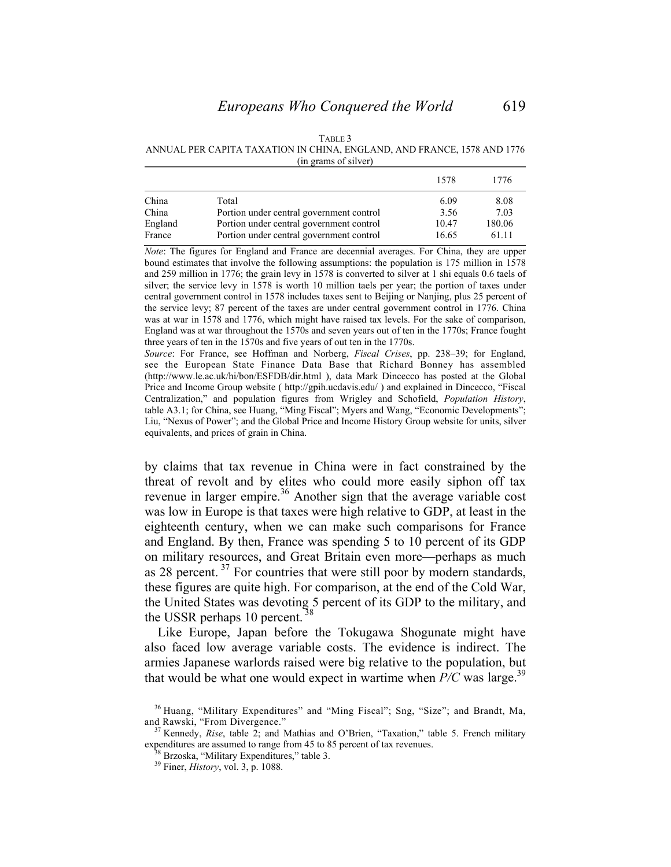TABLE 3 ANNUAL PER CAPITA TAXATION IN CHINA, ENGLAND, AND FRANCE, 1578 AND 1776 (in grams of silver)

|         |                                          | 1578  | 1776   |
|---------|------------------------------------------|-------|--------|
| China   | Total                                    | 6.09  | 8.08   |
| China   | Portion under central government control | 3.56  | 7.03   |
| England | Portion under central government control | 10.47 | 180.06 |
| France  | Portion under central government control | 16.65 | 61 11  |

*Note*: The figures for England and France are decennial averages. For China, they are upper bound estimates that involve the following assumptions: the population is 175 million in 1578 and 259 million in 1776; the grain levy in 1578 is converted to silver at 1 shi equals 0.6 taels of silver; the service levy in 1578 is worth 10 million taels per year; the portion of taxes under central government control in 1578 includes taxes sent to Beijing or Nanjing, plus 25 percent of the service levy; 87 percent of the taxes are under central government control in 1776. China was at war in 1578 and 1776, which might have raised tax levels. For the sake of comparison, England was at war throughout the 1570s and seven years out of ten in the 1770s; France fought three years of ten in the 1570s and five years of out ten in the 1770s.

*Source*: For France, see Hoffman and Norberg, *Fiscal Crises*, pp. 238‒39; for England, see the European State Finance Data Base that Richard Bonney has assembled (http://www.le.ac.uk/hi/bon/ESFDB/dir.html ), data Mark Dincecco has posted at the Global Price and Income Group website ( http://gpih.ucdavis.edu/ ) and explained in Dincecco, "Fiscal Centralization," and population figures from Wrigley and Schofield, *Population History*, table A3.1; for China, see Huang, "Ming Fiscal"; Myers and Wang, "Economic Developments"; Liu, "Nexus of Power"; and the Global Price and Income History Group website for units, silver equivalents, and prices of grain in China.

by claims that tax revenue in China were in fact constrained by the threat of revolt and by elites who could more easily siphon off tax revenue in larger empire.<sup>36</sup> Another sign that the average variable cost was low in Europe is that taxes were high relative to GDP, at least in the eighteenth century, when we can make such comparisons for France and England. By then, France was spending 5 to 10 percent of its GDP on military resources, and Great Britain even more—perhaps as much as 28 percent.  $37$  For countries that were still poor by modern standards, these figures are quite high. For comparison, at the end of the Cold War, the United States was devoting 5 percent of its GDP to the military, and the USSR perhaps 10 percent.<sup>38</sup>

 Like Europe, Japan before the Tokugawa Shogunate might have also faced low average variable costs. The evidence is indirect. The armies Japanese warlords raised were big relative to the population, but that would be what one would expect in wartime when  $P/C$  was large.<sup>39</sup>

<sup>&</sup>lt;sup>36</sup> Huang, "Military Expenditures" and "Ming Fiscal"; Sng, "Size"; and Brandt, Ma, and Rawski, "From Divergence."

<sup>&</sup>lt;sup>37</sup> Kennedy, *Rise*, table 2; and Mathias and O'Brien, "Taxation," table 5. French military expenditures are assumed to range from 45 to 85 percent of tax revenues. 38 Brzoska, "Military Expenditures," table 3. 39 Finer, *History*, vol. 3, p. 1088.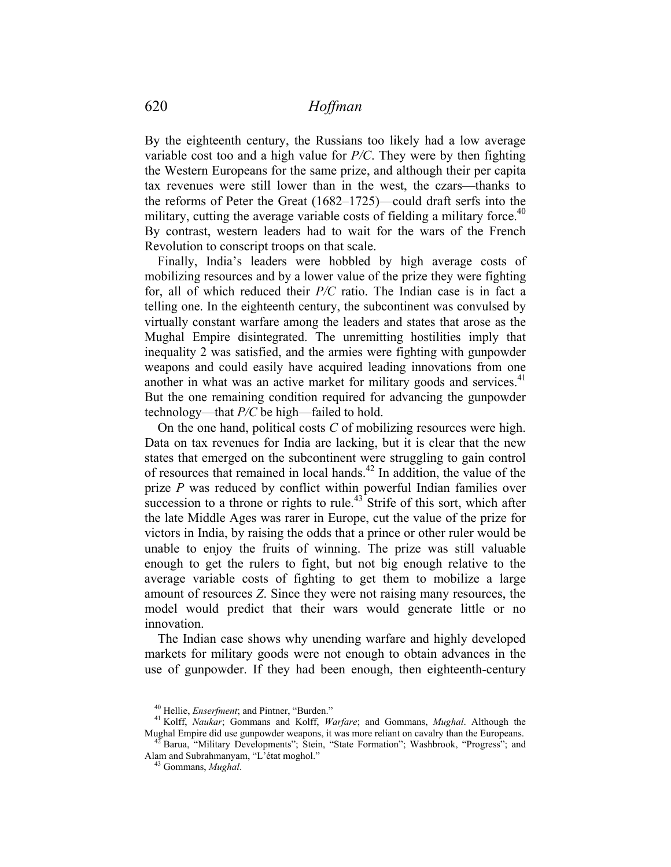By the eighteenth century, the Russians too likely had a low average variable cost too and a high value for *P/C*. They were by then fighting the Western Europeans for the same prize, and although their per capita tax revenues were still lower than in the west, the czars—thanks to the reforms of Peter the Great (1682–1725)—could draft serfs into the military, cutting the average variable costs of fielding a military force.<sup>40</sup> By contrast, western leaders had to wait for the wars of the French Revolution to conscript troops on that scale.

 Finally, India's leaders were hobbled by high average costs of mobilizing resources and by a lower value of the prize they were fighting for, all of which reduced their *P/C* ratio. The Indian case is in fact a telling one. In the eighteenth century, the subcontinent was convulsed by virtually constant warfare among the leaders and states that arose as the Mughal Empire disintegrated. The unremitting hostilities imply that inequality 2 was satisfied, and the armies were fighting with gunpowder weapons and could easily have acquired leading innovations from one another in what was an active market for military goods and services.<sup>41</sup> But the one remaining condition required for advancing the gunpowder technology—that *P/C* be high—failed to hold.

 On the one hand, political costs *C* of mobilizing resources were high. Data on tax revenues for India are lacking, but it is clear that the new states that emerged on the subcontinent were struggling to gain control of resources that remained in local hands.<sup>42</sup> In addition, the value of the prize *P* was reduced by conflict within powerful Indian families over succession to a throne or rights to rule.<sup>43</sup> Strife of this sort, which after the late Middle Ages was rarer in Europe, cut the value of the prize for victors in India, by raising the odds that a prince or other ruler would be unable to enjoy the fruits of winning. The prize was still valuable enough to get the rulers to fight, but not big enough relative to the average variable costs of fighting to get them to mobilize a large amount of resources *Z*. Since they were not raising many resources, the model would predict that their wars would generate little or no innovation.

 The Indian case shows why unending warfare and highly developed markets for military goods were not enough to obtain advances in the use of gunpowder. If they had been enough, then eighteenth-century

<sup>&</sup>lt;sup>40</sup> Hellie, *Enserfment*; and Pintner, "Burden."<br><sup>41</sup> Kolff, *Naukar*; Gommans and Kolff, *Warfare*; and Gommans, *Mughal*. Although the<br>Mughal Empire did use gunpowder weapons, it was more reliant on cavalry than the Eur

 $^{42}$  Barua, "Military Developments"; Stein, "State Formation"; Washbrook, "Progress"; and Alam and Subrahmanyam, "L'état moghol." 43 Gommans, *Mughal*.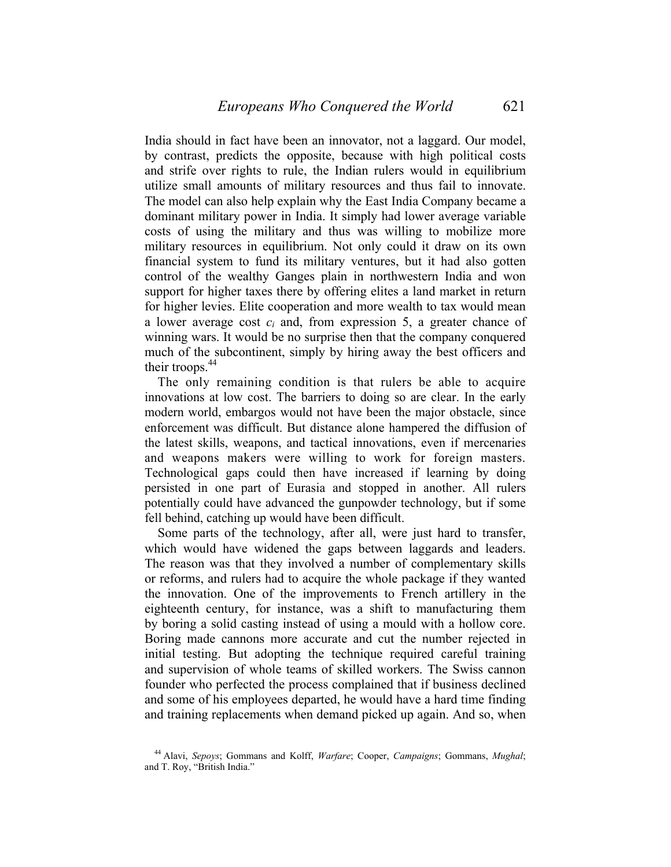India should in fact have been an innovator, not a laggard. Our model, by contrast, predicts the opposite, because with high political costs and strife over rights to rule, the Indian rulers would in equilibrium utilize small amounts of military resources and thus fail to innovate. The model can also help explain why the East India Company became a dominant military power in India. It simply had lower average variable costs of using the military and thus was willing to mobilize more military resources in equilibrium. Not only could it draw on its own financial system to fund its military ventures, but it had also gotten control of the wealthy Ganges plain in northwestern India and won support for higher taxes there by offering elites a land market in return for higher levies. Elite cooperation and more wealth to tax would mean a lower average cost *ci* and, from expression 5, a greater chance of winning wars. It would be no surprise then that the company conquered much of the subcontinent, simply by hiring away the best officers and their troops.<sup>44</sup>

 The only remaining condition is that rulers be able to acquire innovations at low cost. The barriers to doing so are clear. In the early modern world, embargos would not have been the major obstacle, since enforcement was difficult. But distance alone hampered the diffusion of the latest skills, weapons, and tactical innovations, even if mercenaries and weapons makers were willing to work for foreign masters. Technological gaps could then have increased if learning by doing persisted in one part of Eurasia and stopped in another. All rulers potentially could have advanced the gunpowder technology, but if some fell behind, catching up would have been difficult.

 Some parts of the technology, after all, were just hard to transfer, which would have widened the gaps between laggards and leaders. The reason was that they involved a number of complementary skills or reforms, and rulers had to acquire the whole package if they wanted the innovation. One of the improvements to French artillery in the eighteenth century, for instance, was a shift to manufacturing them by boring a solid casting instead of using a mould with a hollow core. Boring made cannons more accurate and cut the number rejected in initial testing. But adopting the technique required careful training and supervision of whole teams of skilled workers. The Swiss cannon founder who perfected the process complained that if business declined and some of his employees departed, he would have a hard time finding and training replacements when demand picked up again. And so, when

<sup>44</sup> Alavi, *Sepoys*; Gommans and Kolff, *Warfare*; Cooper, *Campaigns*; Gommans, *Mughal*; and T. Roy, "British India."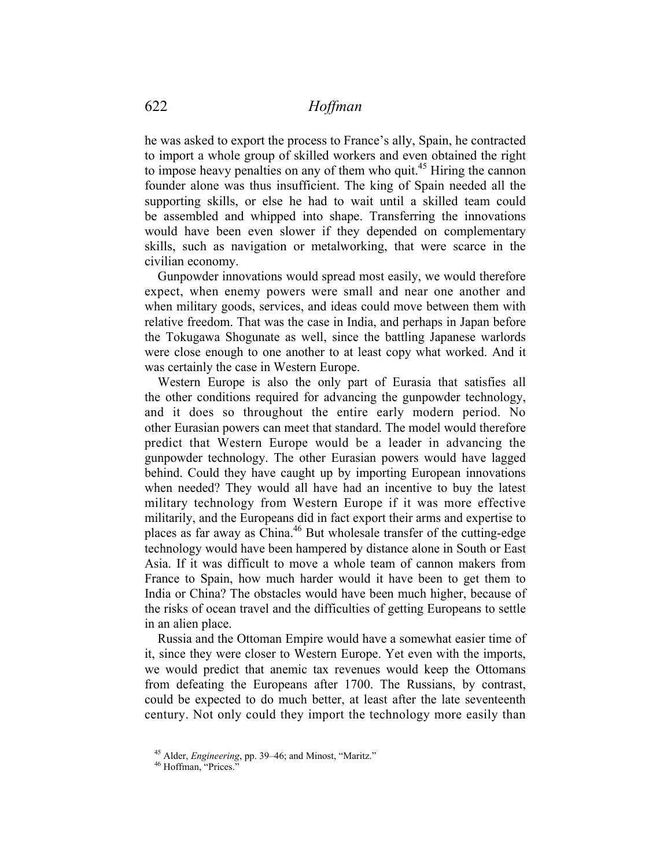he was asked to export the process to France's ally, Spain, he contracted to import a whole group of skilled workers and even obtained the right to impose heavy penalties on any of them who quit.<sup>45</sup> Hiring the cannon founder alone was thus insufficient. The king of Spain needed all the supporting skills, or else he had to wait until a skilled team could be assembled and whipped into shape. Transferring the innovations would have been even slower if they depended on complementary skills, such as navigation or metalworking, that were scarce in the civilian economy.

 Gunpowder innovations would spread most easily, we would therefore expect, when enemy powers were small and near one another and when military goods, services, and ideas could move between them with relative freedom. That was the case in India, and perhaps in Japan before the Tokugawa Shogunate as well, since the battling Japanese warlords were close enough to one another to at least copy what worked. And it was certainly the case in Western Europe.

 Western Europe is also the only part of Eurasia that satisfies all the other conditions required for advancing the gunpowder technology, and it does so throughout the entire early modern period. No other Eurasian powers can meet that standard. The model would therefore predict that Western Europe would be a leader in advancing the gunpowder technology. The other Eurasian powers would have lagged behind. Could they have caught up by importing European innovations when needed? They would all have had an incentive to buy the latest military technology from Western Europe if it was more effective militarily, and the Europeans did in fact export their arms and expertise to places as far away as China.46 But wholesale transfer of the cutting-edge technology would have been hampered by distance alone in South or East Asia. If it was difficult to move a whole team of cannon makers from France to Spain, how much harder would it have been to get them to India or China? The obstacles would have been much higher, because of the risks of ocean travel and the difficulties of getting Europeans to settle in an alien place.

 Russia and the Ottoman Empire would have a somewhat easier time of it, since they were closer to Western Europe. Yet even with the imports, we would predict that anemic tax revenues would keep the Ottomans from defeating the Europeans after 1700. The Russians, by contrast, could be expected to do much better, at least after the late seventeenth century. Not only could they import the technology more easily than

<sup>&</sup>lt;sup>45</sup> Alder, *Engineering*, pp. 39–46; and Minost, "Maritz." <sup>46</sup> Hoffman, "Prices."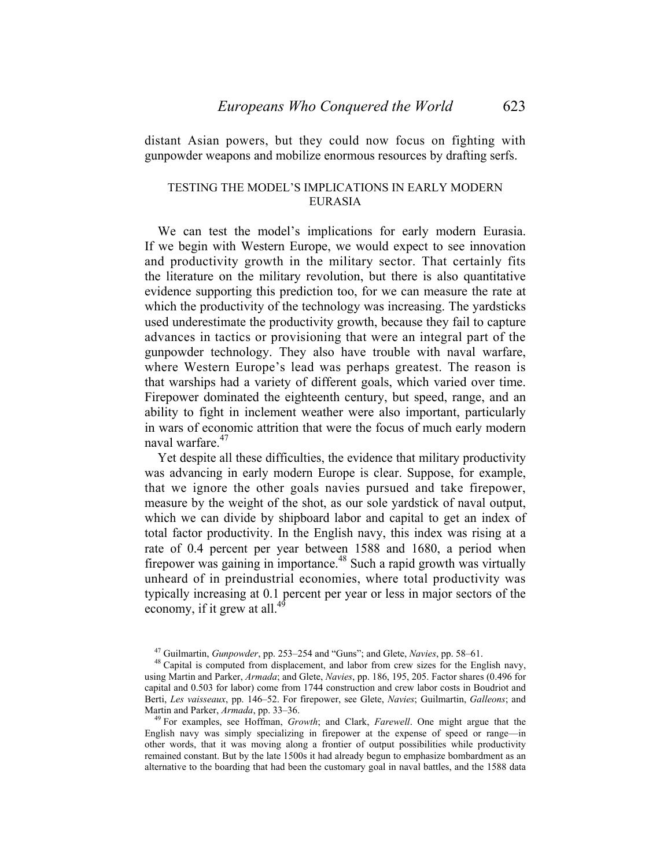distant Asian powers, but they could now focus on fighting with gunpowder weapons and mobilize enormous resources by drafting serfs.

### TESTING THE MODEL'S IMPLICATIONS IN EARLY MODERN EURASIA

 We can test the model's implications for early modern Eurasia. If we begin with Western Europe, we would expect to see innovation and productivity growth in the military sector. That certainly fits the literature on the military revolution, but there is also quantitative evidence supporting this prediction too, for we can measure the rate at which the productivity of the technology was increasing. The yardsticks used underestimate the productivity growth, because they fail to capture advances in tactics or provisioning that were an integral part of the gunpowder technology. They also have trouble with naval warfare, where Western Europe's lead was perhaps greatest. The reason is that warships had a variety of different goals, which varied over time. Firepower dominated the eighteenth century, but speed, range, and an ability to fight in inclement weather were also important, particularly in wars of economic attrition that were the focus of much early modern naval warfare.<sup>47</sup>

 Yet despite all these difficulties, the evidence that military productivity was advancing in early modern Europe is clear. Suppose, for example, that we ignore the other goals navies pursued and take firepower, measure by the weight of the shot, as our sole yardstick of naval output, which we can divide by shipboard labor and capital to get an index of total factor productivity. In the English navy, this index was rising at a rate of 0.4 percent per year between 1588 and 1680, a period when firepower was gaining in importance.<sup>48</sup> Such a rapid growth was virtually unheard of in preindustrial economies, where total productivity was typically increasing at 0.1 percent per year or less in major sectors of the economy, if it grew at all.<sup>49</sup>

<sup>&</sup>lt;sup>47</sup> Guilmartin, *Gunpowder*, pp. 253–254 and "Guns"; and Glete, *Navies*, pp. 58–61.<br><sup>48</sup> Capital is computed from displacement, and labor from crew sizes for the English navy,

using Martin and Parker, *Armada*; and Glete, *Navies*, pp. 186, 195, 205. Factor shares (0.496 for capital and 0.503 for labor) come from 1744 construction and crew labor costs in Boudriot and Berti, *Les vaisseaux*, pp. 146‒52. For firepower, see Glete, *Navies*; Guilmartin, *Galleons*; and Martin and Parker, *Armada*, pp. 33–36.<br><sup>49</sup> For examples, see Hoffman, *Growth*; and Clark, *Farewell*. One might argue that the

English navy was simply specializing in firepower at the expense of speed or range—in other words, that it was moving along a frontier of output possibilities while productivity remained constant. But by the late 1500s it had already begun to emphasize bombardment as an alternative to the boarding that had been the customary goal in naval battles, and the 1588 data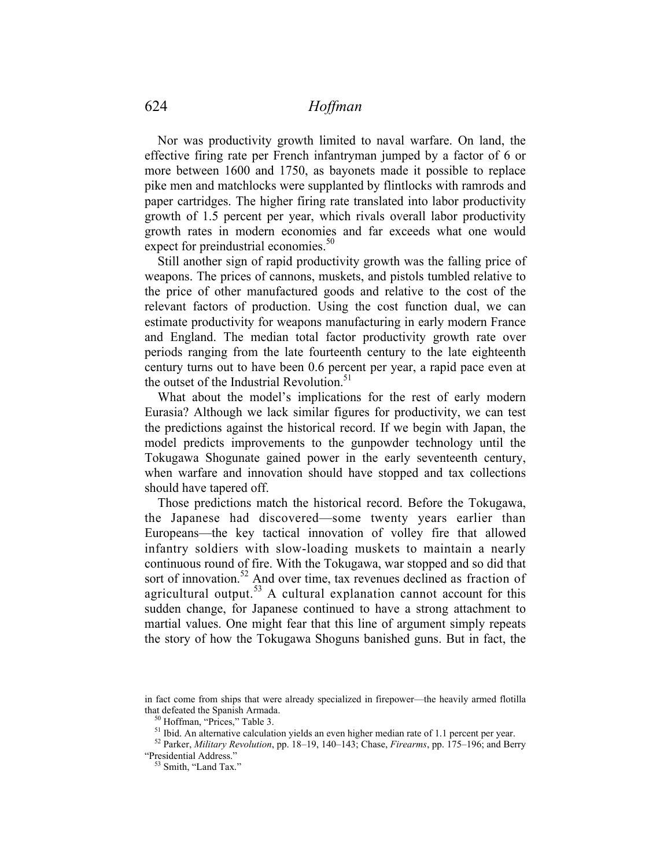Nor was productivity growth limited to naval warfare. On land, the effective firing rate per French infantryman jumped by a factor of 6 or more between 1600 and 1750, as bayonets made it possible to replace pike men and matchlocks were supplanted by flintlocks with ramrods and paper cartridges. The higher firing rate translated into labor productivity growth of 1.5 percent per year, which rivals overall labor productivity growth rates in modern economies and far exceeds what one would expect for preindustrial economies.<sup>50</sup>

 Still another sign of rapid productivity growth was the falling price of weapons. The prices of cannons, muskets, and pistols tumbled relative to the price of other manufactured goods and relative to the cost of the relevant factors of production. Using the cost function dual, we can estimate productivity for weapons manufacturing in early modern France and England. The median total factor productivity growth rate over periods ranging from the late fourteenth century to the late eighteenth century turns out to have been 0.6 percent per year, a rapid pace even at the outset of the Industrial Revolution.<sup>51</sup>

 What about the model's implications for the rest of early modern Eurasia? Although we lack similar figures for productivity, we can test the predictions against the historical record. If we begin with Japan, the model predicts improvements to the gunpowder technology until the Tokugawa Shogunate gained power in the early seventeenth century, when warfare and innovation should have stopped and tax collections should have tapered off.

 Those predictions match the historical record. Before the Tokugawa, the Japanese had discovered—some twenty years earlier than Europeans—the key tactical innovation of volley fire that allowed infantry soldiers with slow-loading muskets to maintain a nearly continuous round of fire. With the Tokugawa, war stopped and so did that sort of innovation.<sup>52</sup> And over time, tax revenues declined as fraction of agricultural output.<sup>53</sup> A cultural explanation cannot account for this sudden change, for Japanese continued to have a strong attachment to martial values. One might fear that this line of argument simply repeats the story of how the Tokugawa Shoguns banished guns. But in fact, the

in fact come from ships that were already specialized in firepower—the heavily armed flotilla

that defeated the Spanish Armada.<br><sup>50</sup> Hoffman, "Prices," Table 3.<br><sup>51</sup> Ibid. An alternative calculation yields an even higher median rate of 1.1 percent per year.<br><sup>52</sup> Parker, *Military Revolution*, pp. 18–19, 140–143; Ch

 $53$  Smith, "Land Tax."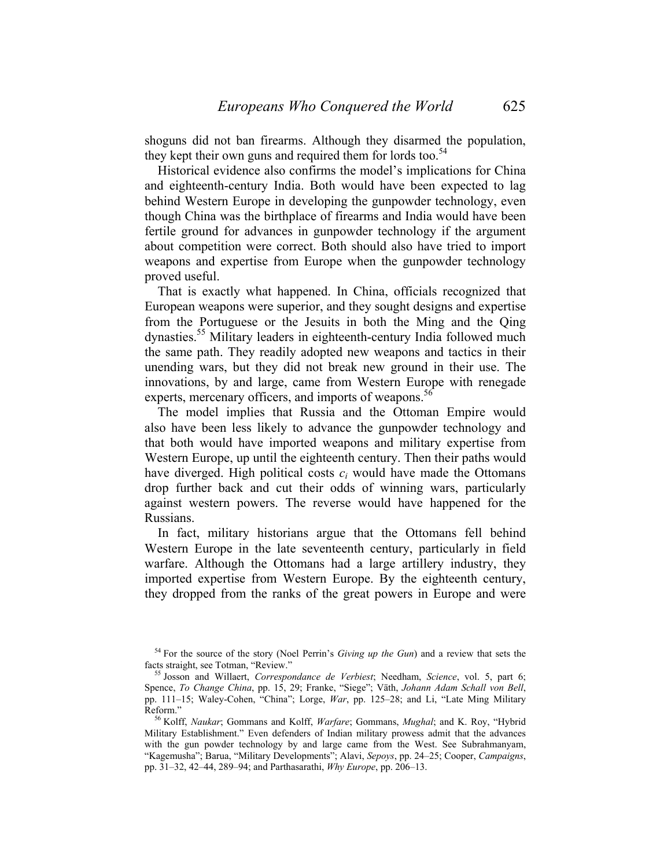shoguns did not ban firearms. Although they disarmed the population, they kept their own guns and required them for lords too.<sup>54</sup>

 Historical evidence also confirms the model's implications for China and eighteenth-century India. Both would have been expected to lag behind Western Europe in developing the gunpowder technology, even though China was the birthplace of firearms and India would have been fertile ground for advances in gunpowder technology if the argument about competition were correct. Both should also have tried to import weapons and expertise from Europe when the gunpowder technology proved useful.

 That is exactly what happened. In China, officials recognized that European weapons were superior, and they sought designs and expertise from the Portuguese or the Jesuits in both the Ming and the Qing dynasties.55 Military leaders in eighteenth-century India followed much the same path. They readily adopted new weapons and tactics in their unending wars, but they did not break new ground in their use. The innovations, by and large, came from Western Europe with renegade experts, mercenary officers, and imports of weapons.<sup>56</sup>

 The model implies that Russia and the Ottoman Empire would also have been less likely to advance the gunpowder technology and that both would have imported weapons and military expertise from Western Europe, up until the eighteenth century. Then their paths would have diverged. High political costs  $c_i$  would have made the Ottomans drop further back and cut their odds of winning wars, particularly against western powers. The reverse would have happened for the Russians.

 In fact, military historians argue that the Ottomans fell behind Western Europe in the late seventeenth century, particularly in field warfare. Although the Ottomans had a large artillery industry, they imported expertise from Western Europe. By the eighteenth century, they dropped from the ranks of the great powers in Europe and were

<sup>&</sup>lt;sup>54</sup> For the source of the story (Noel Perrin's *Giving up the Gun*) and a review that sets the facts straight, see Totman, "Review."

<sup>&</sup>lt;sup>55</sup> Josson and Willaert, *Correspondance de Verbiest*; Needham, *Science*, vol. 5, part 6; Spence, *To Change China*, pp. 15, 29; Franke, "Siege"; Väth, *Johann Adam Schall von Bell*, pp. 111-15; Waley-Cohen, "China"; Lorge, *War*, pp. 125-28; and Li, "Late Ming Military Reform."

<sup>&</sup>lt;sup>56</sup> Kolff, *Naukar*; Gommans and Kolff, *Warfare*; Gommans, *Mughal*; and K. Roy, "Hybrid Military Establishment." Even defenders of Indian military prowess admit that the advances with the gun powder technology by and large came from the West. See Subrahmanyam, "Kagemusha"; Barua, "Military Developments"; Alavi, *Sepoys*, pp. 24‒25; Cooper, *Campaigns*, pp. 31‒32, 42‒44, 289‒94; and Parthasarathi, *Why Europe*, pp. 206‒13.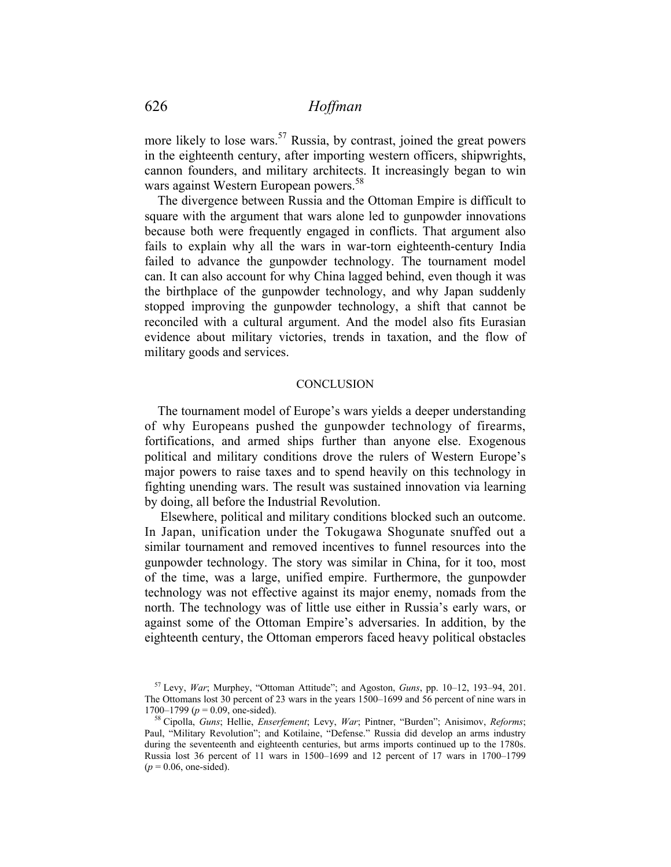more likely to lose wars.<sup>57</sup> Russia, by contrast, joined the great powers in the eighteenth century, after importing western officers, shipwrights, cannon founders, and military architects. It increasingly began to win wars against Western European powers.<sup>58</sup>

 The divergence between Russia and the Ottoman Empire is difficult to square with the argument that wars alone led to gunpowder innovations because both were frequently engaged in conflicts. That argument also fails to explain why all the wars in war-torn eighteenth-century India failed to advance the gunpowder technology. The tournament model can. It can also account for why China lagged behind, even though it was the birthplace of the gunpowder technology, and why Japan suddenly stopped improving the gunpowder technology, a shift that cannot be reconciled with a cultural argument. And the model also fits Eurasian evidence about military victories, trends in taxation, and the flow of military goods and services.

#### **CONCLUSION**

The tournament model of Europe's wars yields a deeper understanding of why Europeans pushed the gunpowder technology of firearms, fortifications, and armed ships further than anyone else. Exogenous political and military conditions drove the rulers of Western Europe's major powers to raise taxes and to spend heavily on this technology in fighting unending wars. The result was sustained innovation via learning by doing, all before the Industrial Revolution.

 Elsewhere, political and military conditions blocked such an outcome. In Japan, unification under the Tokugawa Shogunate snuffed out a similar tournament and removed incentives to funnel resources into the gunpowder technology. The story was similar in China, for it too, most of the time, was a large, unified empire. Furthermore, the gunpowder technology was not effective against its major enemy, nomads from the north. The technology was of little use either in Russia's early wars, or against some of the Ottoman Empire's adversaries. In addition, by the eighteenth century, the Ottoman emperors faced heavy political obstacles

<sup>&</sup>lt;sup>57</sup> Levy, *War*; Murphey, "Ottoman Attitude"; and Agoston, *Guns*, pp. 10-12, 193-94, 201. The Ottomans lost 30 percent of 23 wars in the years 1500–1699 and 56 percent of nine wars in 1700–1799 ( $p = 0.09$ , one-sided).

<sup>&</sup>lt;sup>58</sup> Cipolla, *Guns*; Hellie, *Enserfement*; Levy, *War*; Pintner, "Burden"; Anisimov, *Reforms*; Paul, "Military Revolution"; and Kotilaine, "Defense." Russia did develop an arms industry during the seventeenth and eighteenth centuries, but arms imports continued up to the 1780s. Russia lost 36 percent of 11 wars in 1500–1699 and 12 percent of 17 wars in 1700–1799  $(p = 0.06,$  one-sided).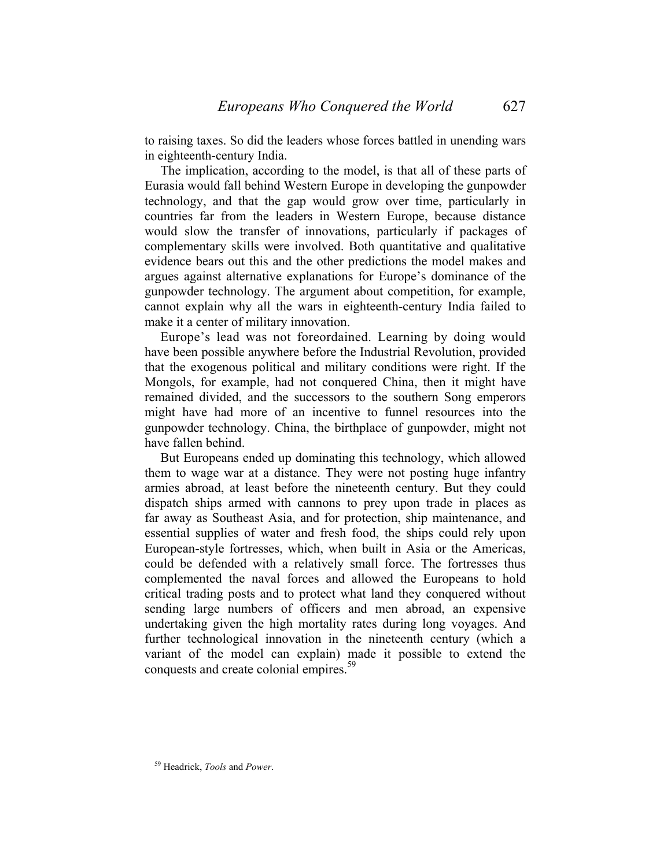to raising taxes. So did the leaders whose forces battled in unending wars in eighteenth-century India.

 The implication, according to the model, is that all of these parts of Eurasia would fall behind Western Europe in developing the gunpowder technology, and that the gap would grow over time, particularly in countries far from the leaders in Western Europe, because distance would slow the transfer of innovations, particularly if packages of complementary skills were involved. Both quantitative and qualitative evidence bears out this and the other predictions the model makes and argues against alternative explanations for Europe's dominance of the gunpowder technology. The argument about competition, for example, cannot explain why all the wars in eighteenth-century India failed to make it a center of military innovation.

 Europe's lead was not foreordained. Learning by doing would have been possible anywhere before the Industrial Revolution, provided that the exogenous political and military conditions were right. If the Mongols, for example, had not conquered China, then it might have remained divided, and the successors to the southern Song emperors might have had more of an incentive to funnel resources into the gunpowder technology. China, the birthplace of gunpowder, might not have fallen behind.

 But Europeans ended up dominating this technology, which allowed them to wage war at a distance. They were not posting huge infantry armies abroad, at least before the nineteenth century. But they could dispatch ships armed with cannons to prey upon trade in places as far away as Southeast Asia, and for protection, ship maintenance, and essential supplies of water and fresh food, the ships could rely upon European-style fortresses, which, when built in Asia or the Americas, could be defended with a relatively small force. The fortresses thus complemented the naval forces and allowed the Europeans to hold critical trading posts and to protect what land they conquered without sending large numbers of officers and men abroad, an expensive undertaking given the high mortality rates during long voyages. And further technological innovation in the nineteenth century (which a variant of the model can explain) made it possible to extend the conquests and create colonial empires.<sup>59</sup>

<sup>59</sup> Headrick, *Tools* and *Power*.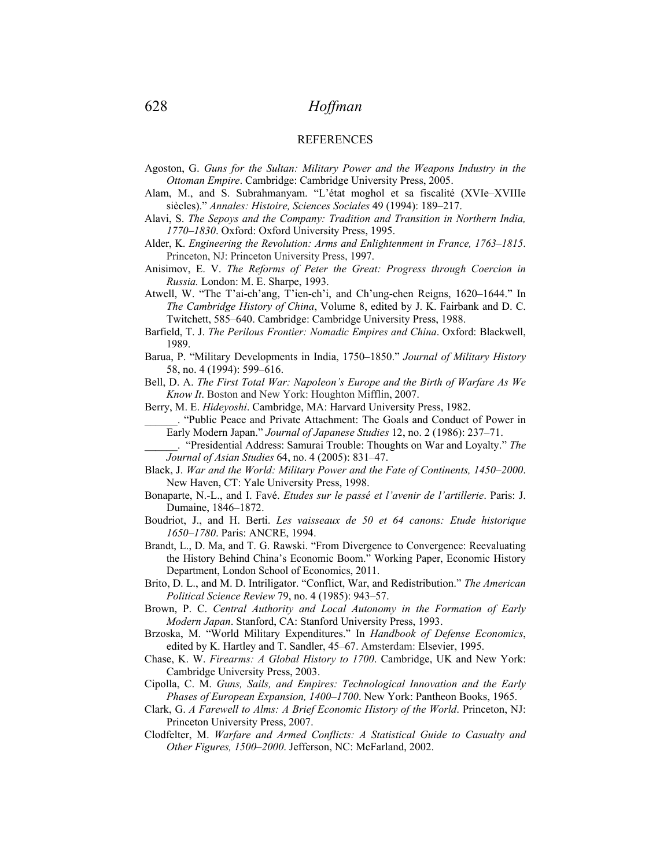#### REFERENCES

- Agoston, G. *Guns for the Sultan: Military Power and the Weapons Industry in the Ottoman Empire*. Cambridge: Cambridge University Press, 2005.
- Alam, M., and S. Subrahmanyam. "L'état moghol et sa fiscalité (XVIe‒XVIIIe siècles)." *Annales: Histoire, Sciences Sociales* 49 (1994): 189–217.
- Alavi, S. *The Sepoys and the Company: Tradition and Transition in Northern India, 1770‒1830*. Oxford: Oxford University Press, 1995.
- Alder, K. *Engineering the Revolution: Arms and Enlightenment in France, 1763–1815.* Princeton, NJ: Princeton University Press, 1997.
- Anisimov, E. V. *The Reforms of Peter the Great: Progress through Coercion in Russia.* London: M. E. Sharpe, 1993.
- Atwell, W. "The T'ai-ch'ang, T'ien-ch'i, and Ch'ung-chen Reigns, 1620–1644." In *The Cambridge History of China*, Volume 8, edited by J. K. Fairbank and D. C. Twitchett, 585–640. Cambridge: Cambridge University Press, 1988.
- Barfield, T. J. *The Perilous Frontier: Nomadic Empires and China*. Oxford: Blackwell, 1989.
- Barua, P. "Military Developments in India, 1750‒1850." *Journal of Military History* 58, no. 4 (1994): 599–616.
- Bell, D. A. *The First Total War: Napoleon's Europe and the Birth of Warfare As We Know It*. Boston and New York: Houghton Mifflin, 2007.
- Berry, M. E. *Hideyoshi*. Cambridge, MA: Harvard University Press, 1982.
- \_\_\_\_\_\_. "Public Peace and Private Attachment: The Goals and Conduct of Power in Early Modern Japan." *Journal of Japanese Studies* 12, no. 2 (1986): 237-71.
	- \_\_\_\_\_\_. "Presidential Address: Samurai Trouble: Thoughts on War and Loyalty." *The Journal of Asian Studies* 64, no. 4 (2005): 831-47.
- Black, J. *War and the World: Military Power and the Fate of Continents, 1450–2000.* New Haven, CT: Yale University Press, 1998.
- Bonaparte, N.-L., and I. Favé. *Etudes sur le passé et l'avenir de l'artillerie*. Paris: J. Dumaine, 1846‒1872.
- Boudriot, J., and H. Berti. *Les vaisseaux de 50 et 64 canons: Etude historique 1650‒1780*. Paris: ANCRE, 1994.
- Brandt, L., D. Ma, and T. G. Rawski. "From Divergence to Convergence: Reevaluating the History Behind China's Economic Boom." Working Paper, Economic History Department, London School of Economics, 2011.
- Brito, D. L., and M. D. Intriligator. "Conflict, War, and Redistribution." *The American Political Science Review* 79, no. 4 (1985): 943‒57.
- Brown, P. C. *Central Authority and Local Autonomy in the Formation of Early Modern Japan*. Stanford, CA: Stanford University Press, 1993.
- Brzoska, M. "World Military Expenditures." In *Handbook of Defense Economics*, edited by K. Hartley and T. Sandler, 45–67. Amsterdam: Elsevier, 1995.
- Chase, K. W. *Firearms: A Global History to 1700*. Cambridge, UK and New York: Cambridge University Press, 2003.
- Cipolla, C. M. *Guns, Sails, and Empires: Technological Innovation and the Early Phases of European Expansion, 1400‒1700*. New York: Pantheon Books, 1965.
- Clark, G. *A Farewell to Alms: A Brief Economic History of the World*. Princeton, NJ: Princeton University Press, 2007.
- Clodfelter, M. *Warfare and Armed Conflicts: A Statistical Guide to Casualty and Other Figures, 1500‒2000*. Jefferson, NC: McFarland, 2002.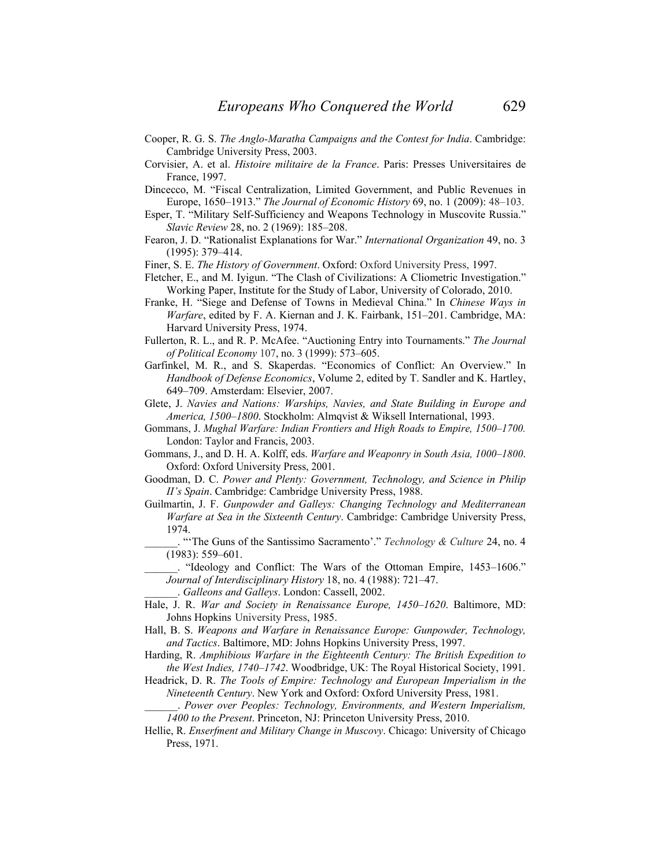- Cooper, R. G. S. *The Anglo-Maratha Campaigns and the Contest for India*. Cambridge: Cambridge University Press, 2003.
- Corvisier, A. et al. *Histoire militaire de la France*. Paris: Presses Universitaires de France, 1997.
- Dincecco, M. "Fiscal Centralization, Limited Government, and Public Revenues in Europe, 1650‒1913." *The Journal of Economic History* 69, no. 1 (2009): 48‒103.
- Esper, T. "Military Self-Sufficiency and Weapons Technology in Muscovite Russia." *Slavic Review* 28, no. 2 (1969): 185-208.
- Fearon, J. D. "Rationalist Explanations for War." *International Organization* 49, no. 3 (1995): 379‒414.
- Finer, S. E. *The History of Government*. Oxford: Oxford University Press, 1997.
- Fletcher, E., and M. Iyigun. "The Clash of Civilizations: A Cliometric Investigation." Working Paper, Institute for the Study of Labor, University of Colorado, 2010.
- Franke, H. "Siege and Defense of Towns in Medieval China." In *Chinese Ways in Warfare*, edited by F. A. Kiernan and J. K. Fairbank, 151–201. Cambridge, MA: Harvard University Press, 1974.
- Fullerton, R. L., and R. P. McAfee. "Auctioning Entry into Tournaments." *The Journal of Political Economy* 107, no. 3 (1999): 573–605.
- Garfinkel, M. R., and S. Skaperdas. "Economics of Conflict: An Overview." In *Handbook of Defense Economics*, Volume 2, edited by T. Sandler and K. Hartley, 649‒709. Amsterdam: Elsevier, 2007.
- Glete, J. *Navies and Nations: Warships, Navies, and State Building in Europe and America, 1500‒1800*. Stockholm: Almqvist & Wiksell International, 1993.
- Gommans, J. *Mughal Warfare: Indian Frontiers and High Roads to Empire, 1500–1700.* London: Taylor and Francis, 2003.
- Gommans, J., and D. H. A. Kolff, eds. *Warfare and Weaponry in South Asia, 1000–1800*. Oxford: Oxford University Press, 2001.
- Goodman, D. C. *Power and Plenty: Government, Technology, and Science in Philip II's Spain*. Cambridge: Cambridge University Press, 1988.
- Guilmartin, J. F. *Gunpowder and Galleys: Changing Technology and Mediterranean Warfare at Sea in the Sixteenth Century*. Cambridge: Cambridge University Press, 1974.
	- \_\_\_\_\_\_. "'The Guns of the Santissimo Sacramento'." *Technology & Culture* 24, no. 4  $(1983): 559 - 601$ .
	- . "Ideology and Conflict: The Wars of the Ottoman Empire, 1453–1606." Journal of Interdisciplinary History 18, no. 4 (1988): 721-47.

\_\_\_\_\_\_. *Galleons and Galleys*. London: Cassell, 2002.

- Hale, J. R. *War and Society in Renaissance Europe, 1450–1620*. Baltimore, MD: Johns Hopkins University Press, 1985.
- Hall, B. S. *Weapons and Warfare in Renaissance Europe: Gunpowder, Technology, and Tactics*. Baltimore, MD: Johns Hopkins University Press, 1997.
- Harding, R. *Amphibious Warfare in the Eighteenth Century: The British Expedition to the West Indies, 1740‒1742*. Woodbridge, UK: The Royal Historical Society, 1991.
- Headrick, D. R. *The Tools of Empire: Technology and European Imperialism in the Nineteenth Century*. New York and Oxford: Oxford University Press, 1981.
	- \_\_\_\_\_\_. *Power over Peoples: Technology, Environments, and Western Imperialism, 1400 to the Present*. Princeton, NJ: Princeton University Press, 2010.
- Hellie, R. *Enserfment and Military Change in Muscovy*. Chicago: University of Chicago Press, 1971.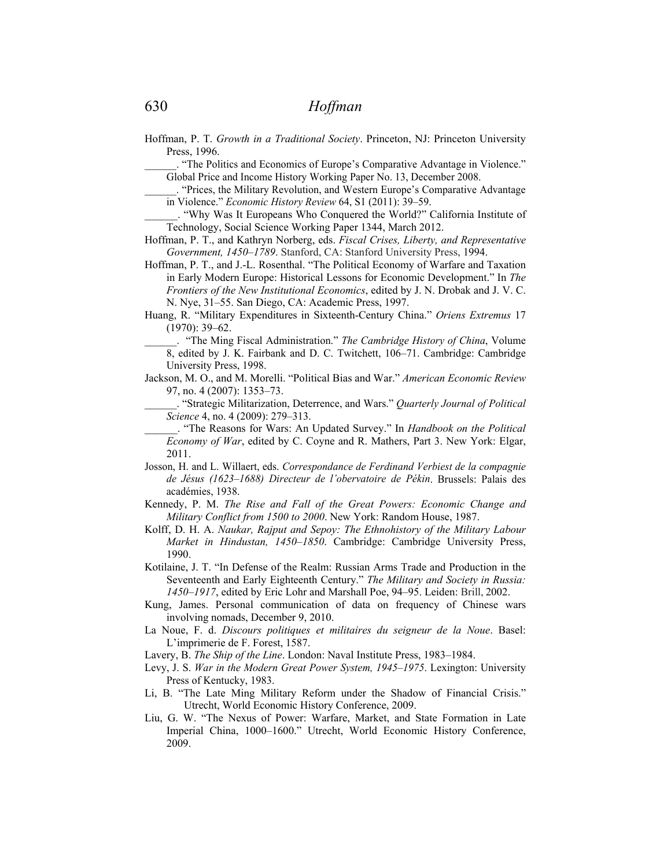Hoffman, P. T. *Growth in a Traditional Society*. Princeton, NJ: Princeton University Press, 1996.

\_\_\_\_\_\_. "The Politics and Economics of Europe's Comparative Advantage in Violence." Global Price and Income History Working Paper No. 13, December 2008.

\_\_\_\_\_\_. "Prices, the Military Revolution, and Western Europe's Comparative Advantage in Violence." *Economic History Review* 64, S1 (2011): 39‒59.

\_\_\_\_\_\_. "Why Was It Europeans Who Conquered the World?" California Institute of Technology, Social Science Working Paper 1344, March 2012.

Hoffman, P. T., and Kathryn Norberg, eds. *Fiscal Crises, Liberty, and Representative Government, 1450‒1789*. Stanford, CA: Stanford University Press, 1994.

- Hoffman, P. T., and J.-L. Rosenthal. "The Political Economy of Warfare and Taxation in Early Modern Europe: Historical Lessons for Economic Development." In *The Frontiers of the New Institutional Economics*, edited by J. N. Drobak and J. V. C. N. Nye, 31–55. San Diego, CA: Academic Press, 1997.
- Huang, R. "Military Expenditures in Sixteenth-Century China." *Oriens Extremus* 17  $(1970): 39 - 62.$

\_\_\_\_\_\_. "The Ming Fiscal Administration." *The Cambridge History of China*, Volume 8, edited by J. K. Fairbank and D. C. Twitchett, 106-71. Cambridge: Cambridge University Press, 1998.

Jackson, M. O., and M. Morelli. "Political Bias and War." *American Economic Review* 97, no. 4 (2007): 1353-73.

\_\_\_\_\_\_. "Strategic Militarization, Deterrence, and Wars." *Quarterly Journal of Political Science* 4, no. 4 (2009): 279–313.

- \_\_\_\_\_\_. "The Reasons for Wars: An Updated Survey." In *Handbook on the Political Economy of War*, edited by C. Coyne and R. Mathers, Part 3. New York: Elgar, 2011.
- Josson, H. and L. Willaert, eds. *Correspondance de Ferdinand Verbiest de la compagnie de Jésus (1623‒1688) Directeur de l'obervatoire de Pékin*. Brussels: Palais des académies, 1938.
- Kennedy, P. M. *The Rise and Fall of the Great Powers: Economic Change and Military Conflict from 1500 to 2000*. New York: Random House, 1987.
- Kolff, D. H. A. *Naukar, Rajput and Sepoy: The Ethnohistory of the Military Labour Market in Hindustan, 1450–1850.* Cambridge: Cambridge University Press, 1990.
- Kotilaine, J. T. "In Defense of the Realm: Russian Arms Trade and Production in the Seventeenth and Early Eighteenth Century." *The Military and Society in Russia: 1450‒1917*, edited by Eric Lohr and Marshall Poe, 94‒95. Leiden: Brill, 2002.

Kung, James. Personal communication of data on frequency of Chinese wars involving nomads, December 9, 2010.

- La Noue, F. d. *Discours politiques et militaires du seigneur de la Noue*. Basel: L'imprimerie de F. Forest, 1587.
- Lavery, B. *The Ship of the Line*. London: Naval Institute Press, 1983-1984.
- Levy, J. S. *War in the Modern Great Power System, 1945–1975*. Lexington: University Press of Kentucky, 1983.
- Li, B. "The Late Ming Military Reform under the Shadow of Financial Crisis." Utrecht, World Economic History Conference, 2009.
- Liu, G. W. "The Nexus of Power: Warfare, Market, and State Formation in Late Imperial China, 1000–1600." Utrecht, World Economic History Conference, 2009.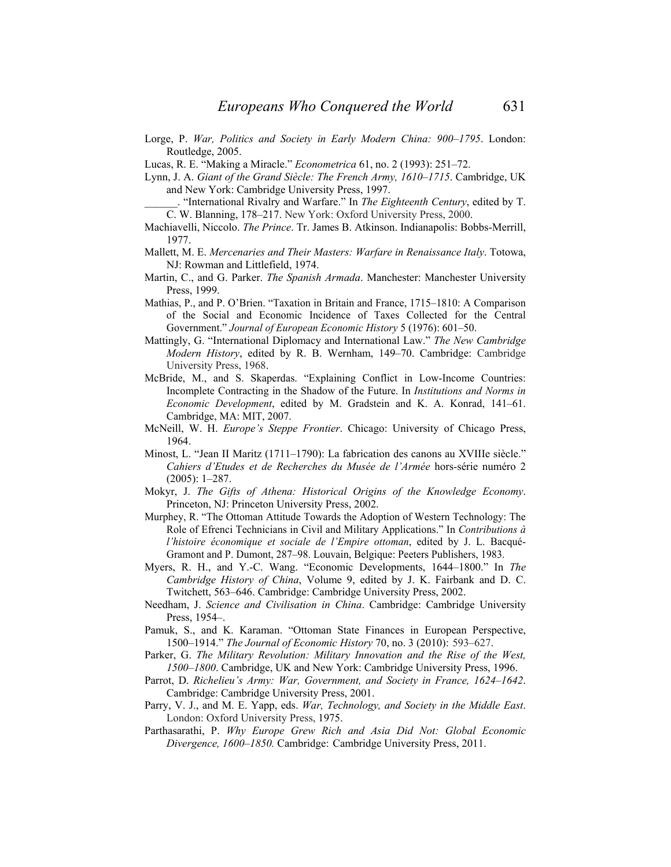- Lorge, P. *War, Politics and Society in Early Modern China: 900–1795*. London: Routledge, 2005.
- Lucas, R. E. "Making a Miracle." *Econometrica* 61, no. 2 (1993): 251‒72.
- Lynn, J. A. *Giant of the Grand Siècle: The French Army, 1610‒1715*. Cambridge, UK and New York: Cambridge University Press, 1997.
	- \_\_\_\_\_\_. "International Rivalry and Warfare." In *The Eighteenth Century*, edited by T. C. W. Blanning, 178–217. New York: Oxford University Press, 2000.
- Machiavelli, Niccolo. *The Prince*. Tr. James B. Atkinson. Indianapolis: Bobbs-Merrill, 1977.
- Mallett, M. E. *Mercenaries and Their Masters: Warfare in Renaissance Italy*. Totowa, NJ: Rowman and Littlefield, 1974.
- Martin, C., and G. Parker. *The Spanish Armada*. Manchester: Manchester University Press, 1999.
- Mathias, P., and P. O'Brien. "Taxation in Britain and France, 1715–1810: A Comparison of the Social and Economic Incidence of Taxes Collected for the Central Government." *Journal of European Economic History* 5 (1976): 601–50.
- Mattingly, G. "International Diplomacy and International Law." *The New Cambridge Modern History*, edited by R. B. Wernham, 149‒70. Cambridge: Cambridge University Press, 1968.
- McBride, M., and S. Skaperdas. "Explaining Conflict in Low-Income Countries: Incomplete Contracting in the Shadow of the Future. In *Institutions and Norms in Economic Development*, edited by M. Gradstein and K. A. Konrad, 141-61. Cambridge, MA: MIT, 2007.
- McNeill, W. H. *Europe's Steppe Frontier*. Chicago: University of Chicago Press, 1964.
- Minost, L. "Jean II Maritz (1711–1790): La fabrication des canons au XVIIIe siècle." *Cahiers d'Etudes et de Recherches du Musée de l'Armée* hors-série numéro 2  $(2005): 1 - 287.$
- Mokyr, J. *The Gifts of Athena: Historical Origins of the Knowledge Economy*. Princeton, NJ: Princeton University Press, 2002.
- Murphey, R. "The Ottoman Attitude Towards the Adoption of Western Technology: The Role of Efrenci Technicians in Civil and Military Applications." In *Contributions à l'histoire économique et sociale de l'Empire ottoman*, edited by J. L. Bacqué-Gramont and P. Dumont, 287–98. Louvain, Belgique: Peeters Publishers, 1983.
- Myers, R. H., and Y.-C. Wang. "Economic Developments, 1644–1800." In *The Cambridge History of China*, Volume 9, edited by J. K. Fairbank and D. C. Twitchett, 563–646. Cambridge: Cambridge University Press, 2002.
- Needham, J. *Science and Civilisation in China*. Cambridge: Cambridge University Press, 1954‒.
- Pamuk, S., and K. Karaman. "Ottoman State Finances in European Perspective, 1500–1914." *The Journal of Economic History* 70, no. 3 (2010): 593–627.
- Parker, G. *The Military Revolution: Military Innovation and the Rise of the West, 1500‒1800*. Cambridge, UK and New York: Cambridge University Press, 1996.
- Parrot, D. Richelieu's Army: War, Government, and Society in France, 1624–1642. Cambridge: Cambridge University Press, 2001.
- Parry, V. J., and M. E. Yapp, eds. *War, Technology, and Society in the Middle East*. London: Oxford University Press, 1975.
- Parthasarathi, P. *Why Europe Grew Rich and Asia Did Not: Global Economic Divergence, 1600‒1850.* Cambridge: Cambridge University Press, 2011.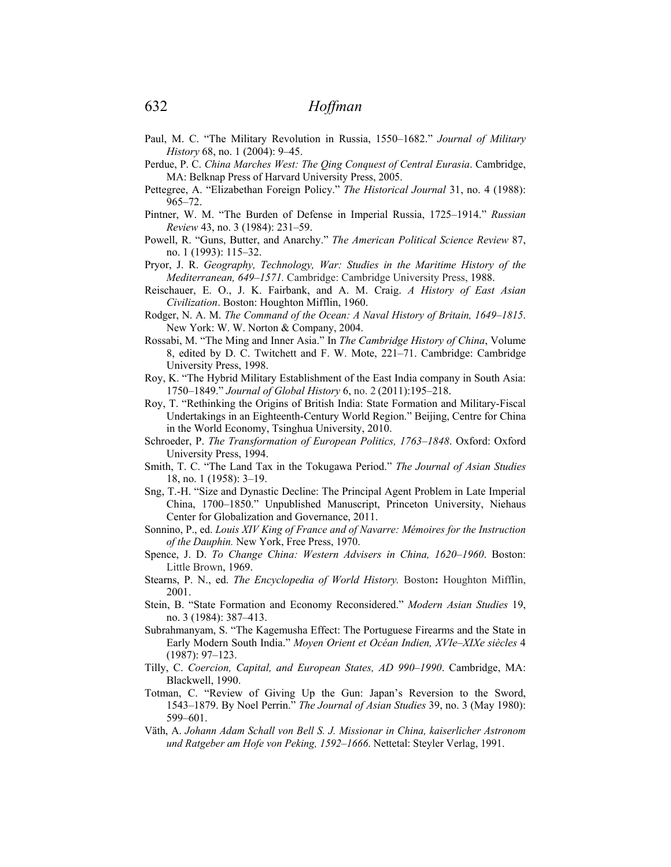- Paul, M. C. "The Military Revolution in Russia, 1550–1682." *Journal of Military History* 68, no. 1 (2004): 9–45.
- Perdue, P. C. *China Marches West: The Qing Conquest of Central Eurasia*. Cambridge, MA: Belknap Press of Harvard University Press, 2005.
- Pettegree, A. "Elizabethan Foreign Policy." *The Historical Journal* 31, no. 4 (1988): 965‒72.
- Pintner, W. M. "The Burden of Defense in Imperial Russia, 1725–1914." Russian *Review* 43, no. 3 (1984): 231-59.
- Powell, R. "Guns, Butter, and Anarchy." *The American Political Science Review* 87, no. 1 (1993): 115‒32.
- Pryor, J. R. *Geography, Technology, War: Studies in the Maritime History of the Mediterranean, 649‒1571.* Cambridge: Cambridge University Press, 1988.
- Reischauer, E. O., J. K. Fairbank, and A. M. Craig. *A History of East Asian Civilization*. Boston: Houghton Mifflin, 1960.
- Rodger, N. A. M. *The Command of the Ocean: A Naval History of Britain, 1649–1815.* New York: W. W. Norton & Company, 2004.
- Rossabi, M. "The Ming and Inner Asia." In *The Cambridge History of China*, Volume 8, edited by D. C. Twitchett and F. W. Mote, 221-71. Cambridge: Cambridge University Press, 1998.
- Roy, K. "The Hybrid Military Establishment of the East India company in South Asia: 1750‒1849." *Journal of Global History* 6, no. 2 (2011):195‒218.
- Roy, T. "Rethinking the Origins of British India: State Formation and Military-Fiscal Undertakings in an Eighteenth-Century World Region." Beijing, Centre for China in the World Economy, Tsinghua University, 2010.
- Schroeder, P. *The Transformation of European Politics, 1763–1848*. Oxford: Oxford University Press, 1994.
- Smith, T. C. "The Land Tax in the Tokugawa Period." *The Journal of Asian Studies* 18, no. 1 (1958): 3‒19.
- Sng, T.-H. "Size and Dynastic Decline: The Principal Agent Problem in Late Imperial China, 1700–1850." Unpublished Manuscript, Princeton University, Niehaus Center for Globalization and Governance, 2011.
- Sonnino, P., ed. *Louis XIV King of France and of Navarre: Mémoires for the Instruction of the Dauphin.* New York, Free Press, 1970.
- Spence, J. D. To Change China: Western Advisers in China, 1620–1960. Boston: Little Brown, 1969.
- Stearns, P. N., ed. *The Encyclopedia of World History.* Boston**:** Houghton Mifflin, 2001.
- Stein, B. "State Formation and Economy Reconsidered." *Modern Asian Studies* 19, no. 3 (1984): 387–413.
- Subrahmanyam, S. "The Kagemusha Effect: The Portuguese Firearms and the State in Early Modern South India." *Moyen Orient et Océan Indien, XVIe‒XIXe siècles* 4  $(1987): 97 - 123.$
- Tilly, C. *Coercion, Capital, and European States, AD 990-1990*. Cambridge, MA: Blackwell, 1990.
- Totman, C. "Review of Giving Up the Gun: Japan's Reversion to the Sword, 1543‒1879. By Noel Perrin." *The Journal of Asian Studies* 39, no. 3 (May 1980): 599‒601.
- Väth, A. *Johann Adam Schall von Bell S. J. Missionar in China, kaiserlicher Astronom und Ratgeber am Hofe von Peking, 1592‒1666*. Nettetal: Steyler Verlag, 1991.